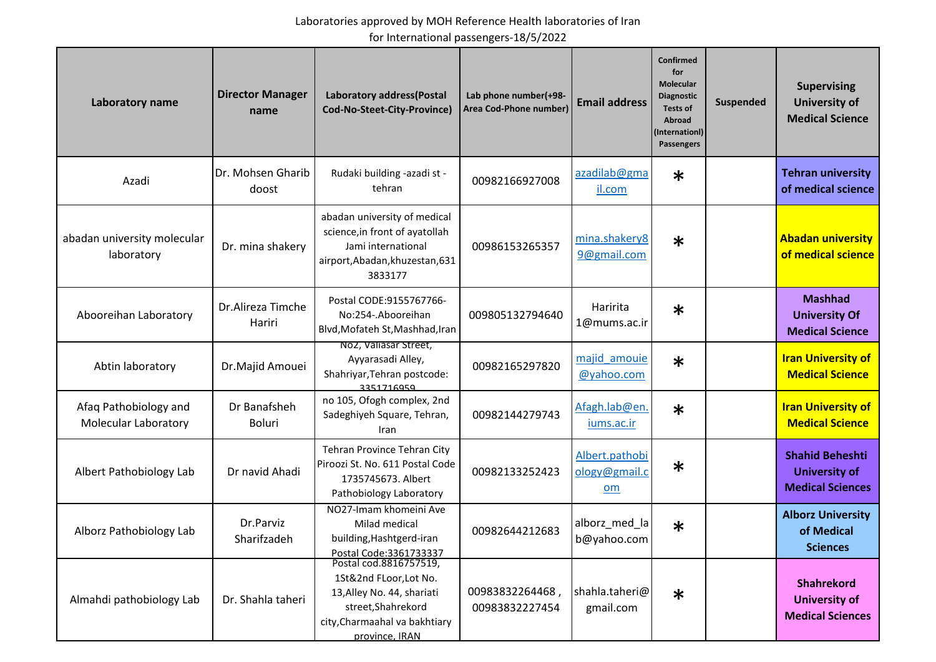| Laboratory name                                      | <b>Director Manager</b><br>name | Laboratory address(Postal<br>Cod-No-Steet-City-Province)                                                                                                | Lab phone number(+98-<br>Area Cod-Phone number) | <b>Email address</b>                  | Confirmed<br>for<br><b>Molecular</b><br><b>Diagnostic</b><br><b>Tests of</b><br>Abroad<br>(Internationl)<br>Passengers | Suspended | <b>Supervising</b><br><b>University of</b><br><b>Medical Science</b>      |
|------------------------------------------------------|---------------------------------|---------------------------------------------------------------------------------------------------------------------------------------------------------|-------------------------------------------------|---------------------------------------|------------------------------------------------------------------------------------------------------------------------|-----------|---------------------------------------------------------------------------|
| Azadi                                                | Dr. Mohsen Gharib<br>doost      | Rudaki building -azadi st -<br>tehran                                                                                                                   | 00982166927008                                  | azadilab@gma<br>il.com                | $\ast$                                                                                                                 |           | <b>Tehran university</b><br>of medical science                            |
| abadan university molecular<br>laboratory            | Dr. mina shakery                | abadan university of medical<br>science, in front of ayatollah<br>Jami international<br>airport, Abadan, khuzestan, 631<br>3833177                      | 00986153265357                                  | mina.shakery8<br>9@gmail.com          | $\ast$                                                                                                                 |           | <b>Abadan university</b><br>of medical science                            |
| Abooreihan Laboratory                                | Dr.Alireza Timche<br>Hariri     | Postal CODE: 9155767766-<br>No:254-. Abooreihan<br>Blvd, Mofateh St, Mashhad, Iran                                                                      | 009805132794640                                 | Haririta<br>1@mums.ac.ir              | $\ast$                                                                                                                 |           | <b>Mashhad</b><br><b>University Of</b><br><b>Medical Science</b>          |
| Abtin laboratory                                     | Dr.Majid Amouei                 | Noz, vallasar Street,<br>Ayyarasadi Alley,<br>Shahriyar, Tehran postcode:<br>3351716959                                                                 | 00982165297820                                  | majid amouie<br>@yahoo.com            | $\ast$                                                                                                                 |           | <b>Iran University of</b><br><b>Medical Science</b>                       |
| Afaq Pathobiology and<br><b>Molecular Laboratory</b> | Dr Banafsheh<br><b>Boluri</b>   | no 105, Ofogh complex, 2nd<br>Sadeghiyeh Square, Tehran,<br>Iran                                                                                        | 00982144279743                                  | Afagh.lab@en.<br>iums.ac.ir           | $\ast$                                                                                                                 |           | <b>Iran University of</b><br><b>Medical Science</b>                       |
| Albert Pathobiology Lab                              | Dr navid Ahadi                  | Tehran Province Tehran City<br>Piroozi St. No. 611 Postal Code<br>1735745673. Albert<br>Pathobiology Laboratory                                         | 00982133252423                                  | Albert.pathobi<br>ology@gmail.c<br>om | $\ast$                                                                                                                 |           | <b>Shahid Beheshti</b><br><b>University of</b><br><b>Medical Sciences</b> |
| Alborz Pathobiology Lab                              | Dr.Parviz<br>Sharifzadeh        | NO27-Imam khomeini Ave<br>Milad medical<br>building, Hashtgerd-iran<br>Postal Code: 3361733337                                                          | 00982644212683                                  | alborz_med_la<br>b@yahoo.com          | $\ast$                                                                                                                 |           | <b>Alborz University</b><br>of Medical<br><b>Sciences</b>                 |
| Almahdi pathobiology Lab                             | Dr. Shahla taheri               | Postal cod.8816757519,<br>1St&2nd FLoor, Lot No.<br>13, Alley No. 44, shariati<br>street, Shahrekord<br>city, Charmaahal va bakhtiary<br>province, IRAN | 00983832264468,<br>00983832227454               | shahla.taheri@<br>gmail.com           | $\ast$                                                                                                                 |           | <b>Shahrekord</b><br><b>University of</b><br><b>Medical Sciences</b>      |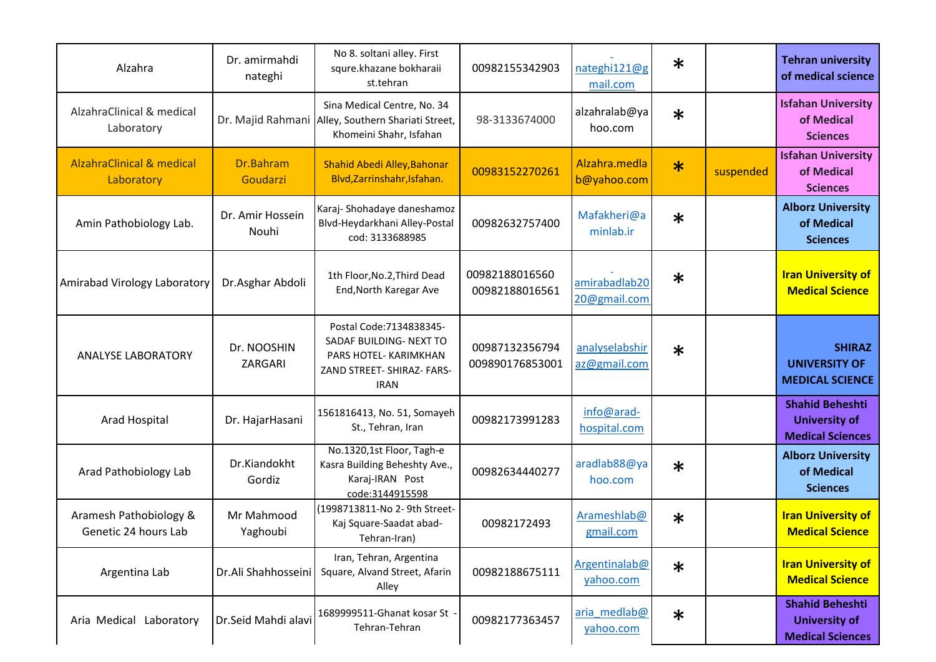| Alzahra                                            | Dr. amirmahdi<br>nateghi  | No 8. soltani alley. First<br>squre.khazane bokharaii<br>st.tehran                                                        | 00982155342903                    | nateghi121@g<br>mail.com       | $\ast$ |           | <b>Tehran university</b><br>of medical science                            |
|----------------------------------------------------|---------------------------|---------------------------------------------------------------------------------------------------------------------------|-----------------------------------|--------------------------------|--------|-----------|---------------------------------------------------------------------------|
| AlzahraClinical & medical<br>Laboratory            |                           | Sina Medical Centre, No. 34<br>Dr. Majid Rahmani Alley, Southern Shariati Street,<br>Khomeini Shahr, Isfahan              | 98-3133674000                     | alzahralab@ya<br>hoo.com       | $\ast$ |           | <b>Isfahan University</b><br>of Medical<br><b>Sciences</b>                |
| <b>AlzahraClinical &amp; medical</b><br>Laboratory | Dr.Bahram<br>Goudarzi     | Shahid Abedi Alley, Bahonar<br>Blvd, Zarrinshahr, Isfahan.                                                                | 00983152270261                    | Alzahra.medla<br>b@yahoo.com   | $\ast$ | suspended | <b>Isfahan University</b><br>of Medical<br><b>Sciences</b>                |
| Amin Pathobiology Lab.                             | Dr. Amir Hossein<br>Nouhi | Karaj-Shohadaye daneshamoz<br>Blvd-Heydarkhani Alley-Postal<br>cod: 3133688985                                            | 00982632757400                    | Mafakheri@a<br>minlab.ir       | $\ast$ |           | <b>Alborz University</b><br>of Medical<br><b>Sciences</b>                 |
| Amirabad Virology Laboratory                       | Dr.Asghar Abdoli          | 1th Floor, No.2, Third Dead<br>End, North Karegar Ave                                                                     | 00982188016560<br>00982188016561  | amirabadlab20<br>20@gmail.com  | $\ast$ |           | <b>Iran University of</b><br><b>Medical Science</b>                       |
| <b>ANALYSE LABORATORY</b>                          | Dr. NOOSHIN<br>ZARGARI    | Postal Code: 7134838345-<br>SADAF BUILDING- NEXT TO<br>PARS HOTEL- KARIMKHAN<br>ZAND STREET- SHIRAZ- FARS-<br><b>IRAN</b> | 00987132356794<br>009890176853001 | analyselabshir<br>az@gmail.com | $\ast$ |           | <b>SHIRAZ</b><br><b>UNIVERSITY OF</b><br><b>MEDICAL SCIENCE</b>           |
| Arad Hospital                                      | Dr. HajarHasani           | 1561816413, No. 51, Somayeh<br>St., Tehran, Iran                                                                          | 00982173991283                    | info@arad-<br>hospital.com     |        |           | <b>Shahid Beheshti</b><br><b>University of</b><br><b>Medical Sciences</b> |
| Arad Pathobiology Lab                              | Dr.Kiandokht<br>Gordiz    | No.1320,1st Floor, Tagh-e<br>Kasra Building Beheshty Ave.,<br>Karaj-IRAN Post<br>code:3144915598                          | 00982634440277                    | aradlab88@ya<br>hoo.com        | $\ast$ |           | <b>Alborz University</b><br>of Medical<br><b>Sciences</b>                 |
| Aramesh Pathobiology &<br>Genetic 24 hours Lab     | Mr Mahmood<br>Yaghoubi    | (1998713811-No 2- 9th Street-<br>Kaj Square-Saadat abad-<br>Tehran-Iran)                                                  | 00982172493                       | Arameshlab@<br>gmail.com       | $\ast$ |           | <b>Iran University of</b><br><b>Medical Science</b>                       |
| Argentina Lab                                      | Dr.Ali Shahhosseini       | Iran, Tehran, Argentina<br>Square, Alvand Street, Afarin<br>Alley                                                         | 00982188675111                    | Argentinalab@<br>yahoo.com     | $\ast$ |           | <b>Iran University of</b><br><b>Medical Science</b>                       |
| Aria Medical Laboratory                            | Dr.Seid Mahdi alavi       | 1689999511-Ghanat kosar St<br>Tehran-Tehran                                                                               | 00982177363457                    | aria medlab@<br>yahoo.com      | $\ast$ |           | <b>Shahid Beheshti</b><br><b>University of</b><br><b>Medical Sciences</b> |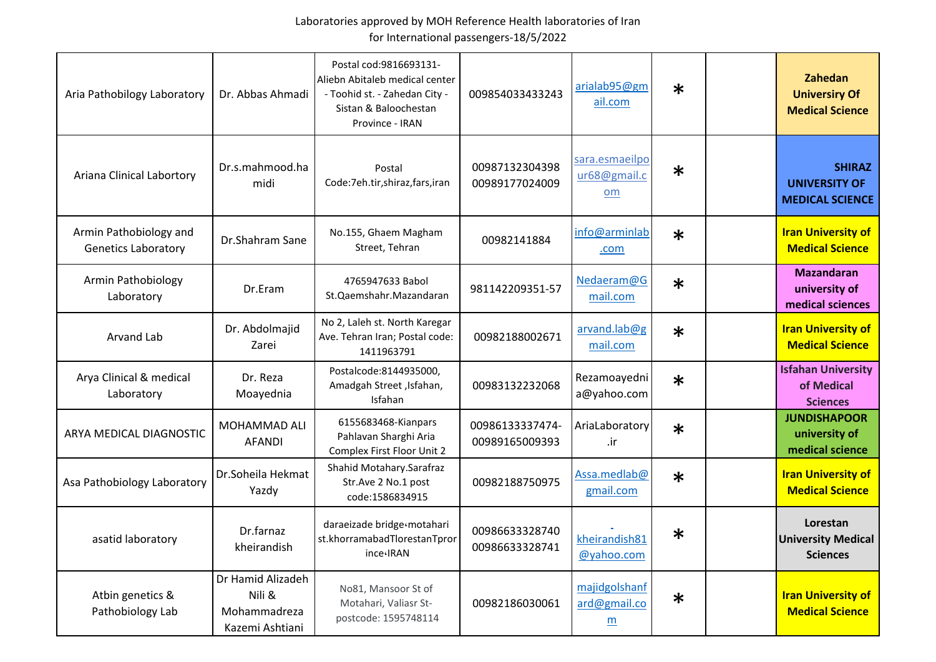| Aria Pathobilogy Laboratory                          | Dr. Abbas Ahmadi                                               | Postal cod: 9816693131-<br>Aliebn Abitaleb medical center<br>- Toohid st. - Zahedan City -<br>Sistan & Baloochestan<br>Province - IRAN | 009854033433243                   | arialab95@gm<br>ail.com                                      | $\ast$ | Zahedan<br><b>Universiry Of</b><br><b>Medical Science</b>       |
|------------------------------------------------------|----------------------------------------------------------------|----------------------------------------------------------------------------------------------------------------------------------------|-----------------------------------|--------------------------------------------------------------|--------|-----------------------------------------------------------------|
| Ariana Clinical Labortory                            | Dr.s.mahmood.ha<br>midi                                        | Postal<br>Code:7eh.tir,shiraz,fars,iran                                                                                                | 00987132304398<br>00989177024009  | sara.esmaeilpo<br>ur68@gmail.c<br>om                         | $\ast$ | <b>SHIRAZ</b><br><b>UNIVERSITY OF</b><br><b>MEDICAL SCIENCE</b> |
| Armin Pathobiology and<br><b>Genetics Laboratory</b> | Dr.Shahram Sane                                                | No.155, Ghaem Magham<br>Street, Tehran                                                                                                 | 00982141884                       | info@arminlab<br>.com                                        | $\ast$ | <b>Iran University of</b><br><b>Medical Science</b>             |
| <b>Armin Pathobiology</b><br>Laboratory              | Dr.Eram                                                        | 4765947633 Babol<br>St.Qaemshahr.Mazandaran                                                                                            | 981142209351-57                   | Nedaeram@G<br>mail.com                                       | $\ast$ | <b>Mazandaran</b><br>university of<br>medical sciences          |
| Arvand Lab                                           | Dr. Abdolmajid<br>Zarei                                        | No 2, Laleh st. North Karegar<br>Ave. Tehran Iran; Postal code:<br>1411963791                                                          | 00982188002671                    | arvand.lab@g<br>mail.com                                     | $\ast$ | <b>Iran University of</b><br><b>Medical Science</b>             |
| Arya Clinical & medical<br>Laboratory                | Dr. Reza<br>Moayednia                                          | Postalcode:8144935000,<br>Amadgah Street, Isfahan,<br>Isfahan                                                                          | 00983132232068                    | Rezamoayedni<br>a@yahoo.com                                  | $\ast$ | <b>Isfahan University</b><br>of Medical<br><b>Sciences</b>      |
| ARYA MEDICAL DIAGNOSTIC                              | MOHAMMAD ALI<br><b>AFANDI</b>                                  | 6155683468-Kianpars<br>Pahlavan Sharghi Aria<br>Complex First Floor Unit 2                                                             | 00986133337474-<br>00989165009393 | AriaLaboratory<br>.ir                                        | $\ast$ | <b>JUNDISHAPOOR</b><br>university of<br>medical science         |
| Asa Pathobiology Laboratory                          | Dr.Soheila Hekmat<br>Yazdy                                     | Shahid Motahary.Sarafraz<br>Str.Ave 2 No.1 post<br>code:1586834915                                                                     | 00982188750975                    | Assa.medlab@<br>gmail.com                                    | $\ast$ | <b>Iran University of</b><br><b>Medical Science</b>             |
| asatid laboratory                                    | Dr.farnaz<br>kheirandish                                       | daraeizade bridge«motahari<br>st.khorramabadTlorestanTpror<br>ince <sub>'IRAN</sub>                                                    | 00986633328740<br>00986633328741  | kheirandish81<br>@yahoo.com                                  | $\ast$ | Lorestan<br><b>University Medical</b><br><b>Sciences</b>        |
| Atbin genetics &<br>Pathobiology Lab                 | Dr Hamid Alizadeh<br>Nili &<br>Mohammadreza<br>Kazemi Ashtiani | No81, Mansoor St of<br>Motahari, Valiasr St-<br>postcode: 1595748114                                                                   | 00982186030061                    | majidgolshanf<br>ard@gmail.co<br>$\underline{\underline{m}}$ | $\ast$ | <b>Iran University of</b><br><b>Medical Science</b>             |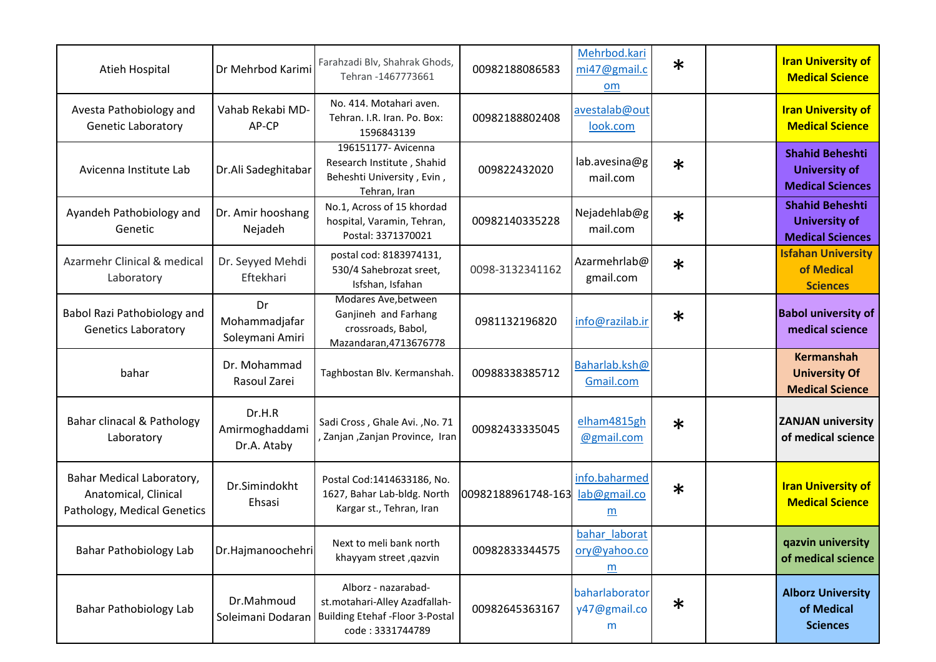| Atieh Hospital                                                                   | Dr Mehrbod Karimi                       | Farahzadi Blv, Shahrak Ghods,<br>Tehran - 1467773661                                                                | 00982188086583     | Mehrbod.kari<br>mi47@gmail.c<br>om  | $\ast$ | <b>Iran University of</b><br><b>Medical Science</b>                       |
|----------------------------------------------------------------------------------|-----------------------------------------|---------------------------------------------------------------------------------------------------------------------|--------------------|-------------------------------------|--------|---------------------------------------------------------------------------|
| Avesta Pathobiology and<br>Genetic Laboratory                                    | Vahab Rekabi MD-<br>AP-CP               | No. 414. Motahari aven.<br>Tehran. I.R. Iran. Po. Box:<br>1596843139                                                | 00982188802408     | avestalab@out<br>look.com           |        | <b>Iran University of</b><br><b>Medical Science</b>                       |
| Avicenna Institute Lab                                                           | Dr.Ali Sadeghitabar                     | 196151177- Avicenna<br>Research Institute, Shahid<br>Beheshti University, Evin,<br>Tehran, Iran                     | 009822432020       | lab.avesina@g<br>mail.com           | $\ast$ | <b>Shahid Beheshti</b><br><b>University of</b><br><b>Medical Sciences</b> |
| Ayandeh Pathobiology and<br>Genetic                                              | Dr. Amir hooshang<br>Nejadeh            | No.1, Across of 15 khordad<br>hospital, Varamin, Tehran,<br>Postal: 3371370021                                      | 00982140335228     | Nejadehlab@g<br>mail.com            | $\ast$ | <b>Shahid Beheshti</b><br><b>University of</b><br><b>Medical Sciences</b> |
| Azarmehr Clinical & medical<br>Laboratory                                        | Dr. Seyyed Mehdi<br>Eftekhari           | postal cod: 8183974131,<br>530/4 Sahebrozat sreet,<br>Isfshan, Isfahan                                              | 0098-3132341162    | Azarmehrlab@<br>gmail.com           | $\ast$ | <b>Isfahan University</b><br>of Medical<br><b>Sciences</b>                |
| Babol Razi Pathobiology and<br><b>Genetics Laboratory</b>                        | Dr<br>Mohammadjafar<br>Soleymani Amiri  | Modares Ave, between<br>Ganjineh and Farhang<br>crossroads, Babol,<br>Mazandaran, 4713676778                        | 0981132196820      | info@razilab.ir                     | $\ast$ | <b>Babol university of</b><br>medical science                             |
| bahar                                                                            | Dr. Mohammad<br>Rasoul Zarei            | Taghbostan Blv. Kermanshah.                                                                                         | 00988338385712     | Baharlab.ksh@<br>Gmail.com          |        | <b>Kermanshah</b><br><b>University Of</b><br><b>Medical Science</b>       |
| Bahar clinacal & Pathology<br>Laboratory                                         | Dr.H.R<br>Amirmoghaddami<br>Dr.A. Ataby | Sadi Cross, Ghale Avi., No. 71<br>, Zanjan , Zanjan Province, Iran                                                  | 00982433335045     | elham4815gh<br>@gmail.com           | $\ast$ | <b>ZANJAN university</b><br>of medical science                            |
| Bahar Medical Laboratory,<br>Anatomical, Clinical<br>Pathology, Medical Genetics | Dr.Simindokht<br>Ehsasi                 | Postal Cod:1414633186, No.<br>1627, Bahar Lab-bldg. North<br>Kargar st., Tehran, Iran                               | 00982188961748-163 | info.baharmed<br>lab@gmail.co<br>m  | $\ast$ | <b>Iran University of</b><br><b>Medical Science</b>                       |
| Bahar Pathobiology Lab                                                           | Dr.Hajmanoochehri                       | Next to meli bank north<br>khayyam street, qazvin                                                                   | 00982833344575     | bahar laborat<br>ory@yahoo.co<br>m  |        | qazvin university<br>of medical science                                   |
| <b>Bahar Pathobiology Lab</b>                                                    | Dr.Mahmoud<br>Soleimani Dodaran         | Alborz - nazarabad-<br>st.motahari-Alley Azadfallah-<br><b>Building Etehaf - Floor 3-Postal</b><br>code: 3331744789 | 00982645363167     | baharlaborator<br>y47@gmail.co<br>m | $\ast$ | <b>Alborz University</b><br>of Medical<br><b>Sciences</b>                 |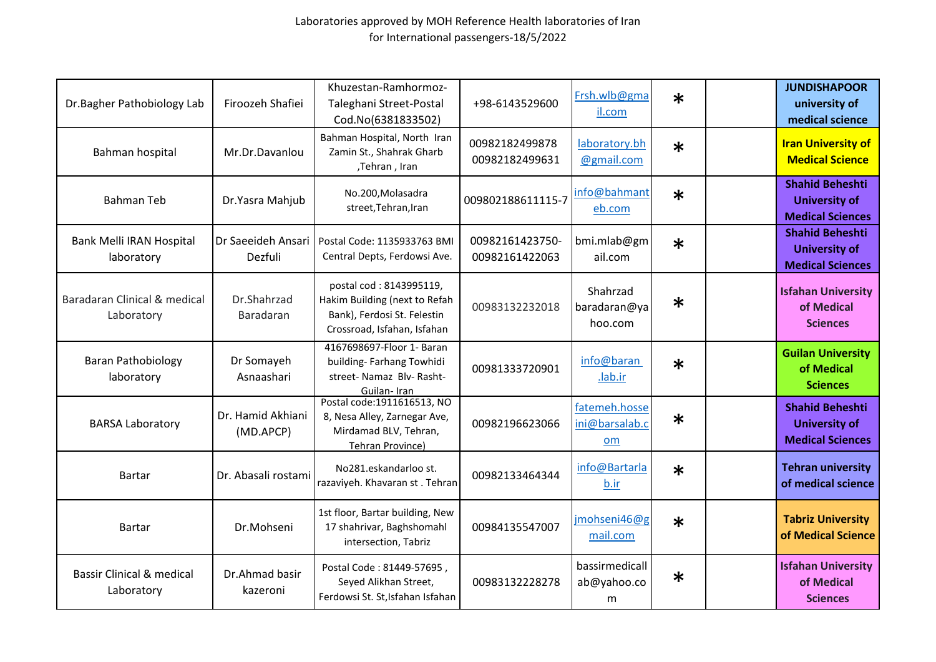| Dr.Bagher Pathobiology Lab                         | Firoozeh Shafiei               | Khuzestan-Ramhormoz-<br>Taleghani Street-Postal<br>Cod.No(6381833502)                                                  | +98-6143529600                    | Frsh.wlb@gma<br>il.com                | $\ast$ | <b>JUNDISHAPOOR</b><br>university of<br>medical science                   |
|----------------------------------------------------|--------------------------------|------------------------------------------------------------------------------------------------------------------------|-----------------------------------|---------------------------------------|--------|---------------------------------------------------------------------------|
| Bahman hospital                                    | Mr.Dr.Davanlou                 | Bahman Hospital, North Iran<br>Zamin St., Shahrak Gharb<br>,Tehran, Iran                                               | 00982182499878<br>00982182499631  | laboratory.bh<br>@gmail.com           | $\ast$ | <b>Iran University of</b><br><b>Medical Science</b>                       |
| <b>Bahman Teb</b>                                  | Dr.Yasra Mahjub                | No.200, Molasadra<br>street, Tehran, Iran                                                                              | 009802188611115-7                 | info@bahmant<br>eb.com                | $\ast$ | <b>Shahid Beheshti</b><br><b>University of</b><br><b>Medical Sciences</b> |
| Bank Melli IRAN Hospital<br>laboratory             | Dr Saeeideh Ansari<br>Dezfuli  | Postal Code: 1135933763 BMI<br>Central Depts, Ferdowsi Ave.                                                            | 00982161423750-<br>00982161422063 | bmi.mlab@gm<br>ail.com                | $\ast$ | <b>Shahid Beheshti</b><br><b>University of</b><br><b>Medical Sciences</b> |
| Baradaran Clinical & medical<br>Laboratory         | Dr.Shahrzad<br>Baradaran       | postal cod: 8143995119,<br>Hakim Building (next to Refah<br>Bank), Ferdosi St. Felestin<br>Crossroad, Isfahan, Isfahan | 00983132232018                    | Shahrzad<br>baradaran@ya<br>hoo.com   | $\ast$ | <b>Isfahan University</b><br>of Medical<br><b>Sciences</b>                |
| <b>Baran Pathobiology</b><br>laboratory            | Dr Somayeh<br>Asnaashari       | 4167698697-Floor 1- Baran<br>building- Farhang Towhidi<br>street- Namaz Blv- Rasht-<br>Guilan-Iran                     | 00981333720901                    | info@baran<br>.lab.ir                 | $\ast$ | <b>Guilan University</b><br>of Medical<br><b>Sciences</b>                 |
| <b>BARSA Laboratory</b>                            | Dr. Hamid Akhiani<br>(MD.APCP) | Postal code:1911616513, NO<br>8, Nesa Alley, Zarnegar Ave,<br>Mirdamad BLV, Tehran,<br>Tehran Province)                | 00982196623066                    | fatemeh.hosse<br>ini@barsalab.c<br>om | $\ast$ | <b>Shahid Beheshti</b><br><b>University of</b><br><b>Medical Sciences</b> |
| <b>Bartar</b>                                      | Dr. Abasali rostami            | No281.eskandarloo st.<br>razaviyeh. Khavaran st. Tehran                                                                | 00982133464344                    | info@Bartarla<br>b.ir                 | $\ast$ | <b>Tehran university</b><br>of medical science                            |
| <b>Bartar</b>                                      | Dr.Mohseni                     | 1st floor, Bartar building, New<br>17 shahrivar, Baghshomahl<br>intersection, Tabriz                                   | 00984135547007                    | jmohseni46@g<br>mail.com              | $\ast$ | <b>Tabriz University</b><br>of Medical Science                            |
| <b>Bassir Clinical &amp; medical</b><br>Laboratory | Dr.Ahmad basir<br>kazeroni     | Postal Code: 81449-57695,<br>Seyed Alikhan Street,<br>Ferdowsi St. St, Isfahan Isfahan                                 | 00983132228278                    | bassirmedicall<br>ab@yahoo.co<br>m    | $\ast$ | <b>Isfahan University</b><br>of Medical<br><b>Sciences</b>                |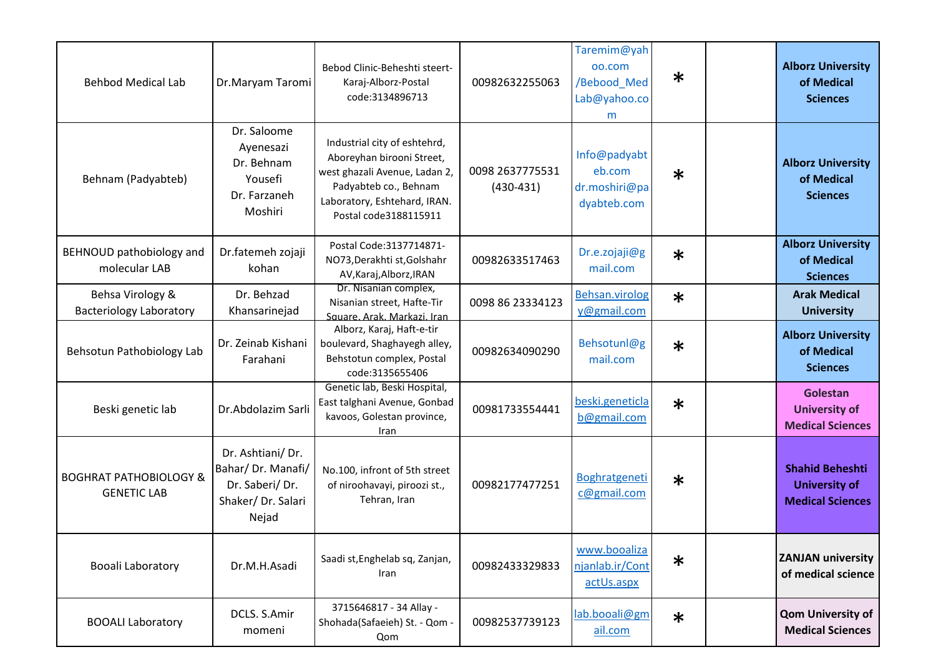| <b>Behbod Medical Lab</b>                               | Dr.Maryam Taromi                                                                       | Bebod Clinic-Beheshti steert-<br>Karaj-Alborz-Postal<br>code:3134896713                                                                                                      | 00982632255063                 | Taremim@yah<br>00.com<br>/Bebood_Med<br>Lab@yahoo.co<br>m | $\ast$ | <b>Alborz University</b><br>of Medical<br><b>Sciences</b>                 |
|---------------------------------------------------------|----------------------------------------------------------------------------------------|------------------------------------------------------------------------------------------------------------------------------------------------------------------------------|--------------------------------|-----------------------------------------------------------|--------|---------------------------------------------------------------------------|
| Behnam (Padyabteb)                                      | Dr. Saloome<br>Ayenesazi<br>Dr. Behnam<br>Yousefi<br>Dr. Farzaneh<br>Moshiri           | Industrial city of eshtehrd,<br>Aboreyhan birooni Street,<br>west ghazali Avenue, Ladan 2,<br>Padyabteb co., Behnam<br>Laboratory, Eshtehard, IRAN.<br>Postal code3188115911 | 0098 2637775531<br>$(430-431)$ | Info@padyabt<br>eb.com<br>dr.moshiri@pa<br>dyabteb.com    | $\ast$ | <b>Alborz University</b><br>of Medical<br><b>Sciences</b>                 |
| BEHNOUD pathobiology and<br>molecular LAB               | Dr.fatemeh zojaji<br>kohan                                                             | Postal Code: 3137714871-<br>NO73, Derakhti st, Golshahr<br>AV, Karaj, Alborz, IRAN                                                                                           | 00982633517463                 | Dr.e.zojaji@g<br>mail.com                                 | $\ast$ | <b>Alborz University</b><br>of Medical<br><b>Sciences</b>                 |
| Behsa Virology &<br><b>Bacteriology Laboratory</b>      | Dr. Behzad<br>Khansarinejad                                                            | Dr. Nisanian complex,<br>Nisanian street, Hafte-Tir<br>Square, Arak, Markazi, Iran                                                                                           | 0098 86 23334123               | Behsan.virolog<br>y@gmail.com                             | $\ast$ | <b>Arak Medical</b><br><b>University</b>                                  |
| Behsotun Pathobiology Lab                               | Dr. Zeinab Kishani<br>Farahani                                                         | Alborz, Karaj, Haft-e-tir<br>boulevard, Shaghayegh alley,<br>Behstotun complex, Postal<br>code:3135655406                                                                    | 00982634090290                 | Behsotunl@g<br>mail.com                                   | $\ast$ | <b>Alborz University</b><br>of Medical<br><b>Sciences</b>                 |
| Beski genetic lab                                       | Dr.Abdolazim Sarli                                                                     | Genetic lab, Beski Hospital,<br>East talghani Avenue, Gonbad<br>kavoos, Golestan province,<br><b>Iran</b>                                                                    | 00981733554441                 | beski.geneticla<br>b@gmail.com                            | $\ast$ | Golestan<br><b>University of</b><br><b>Medical Sciences</b>               |
| <b>BOGHRAT PATHOBIOLOGY &amp;</b><br><b>GENETIC LAB</b> | Dr. Ashtiani/Dr.<br>Bahar/ Dr. Manafi/<br>Dr. Saberi/Dr.<br>Shaker/Dr. Salari<br>Nejad | No.100, infront of 5th street<br>of niroohavayi, piroozi st.,<br>Tehran, Iran                                                                                                | 00982177477251                 | Boghratgeneti<br>c@gmail.com                              | $\ast$ | <b>Shahid Beheshti</b><br><b>University of</b><br><b>Medical Sciences</b> |
| Booali Laboratory                                       | Dr.M.H.Asadi                                                                           | Saadi st, Enghelab sq, Zanjan,<br>Iran                                                                                                                                       | 00982433329833                 | www.booaliza<br>njanlab.ir/Cont<br>actUs.aspx             | $\ast$ | <b>ZANJAN university</b><br>of medical science                            |
| <b>BOOALI Laboratory</b>                                | DCLS. S.Amir<br>momeni                                                                 | 3715646817 - 34 Allay -<br>Shohada(Safaeieh) St. - Qom -<br>Qom                                                                                                              | 00982537739123                 | lab.booali@gm<br>ail.com                                  | $\ast$ | <b>Qom University of</b><br><b>Medical Sciences</b>                       |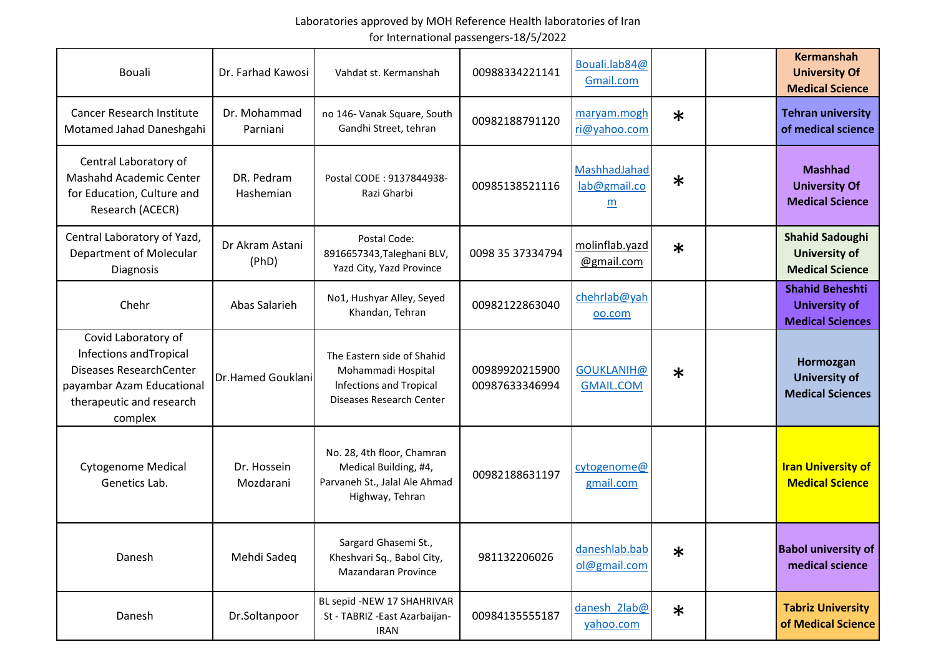| Bouali                                                                                                                                               | Dr. Farhad Kawosi        | Vahdat st. Kermanshah                                                                                          | 00988334221141                   | Bouali.lab84@<br>Gmail.com            |        | <b>Kermanshah</b><br><b>University Of</b><br><b>Medical Science</b>       |
|------------------------------------------------------------------------------------------------------------------------------------------------------|--------------------------|----------------------------------------------------------------------------------------------------------------|----------------------------------|---------------------------------------|--------|---------------------------------------------------------------------------|
| <b>Cancer Research Institute</b><br>Motamed Jahad Daneshgahi                                                                                         | Dr. Mohammad<br>Parniani | no 146- Vanak Square, South<br>Gandhi Street, tehran                                                           | 00982188791120                   | maryam.mogh<br>ri@yahoo.com           | $\ast$ | <b>Tehran university</b><br>of medical science                            |
| Central Laboratory of<br><b>Mashahd Academic Center</b><br>for Education, Culture and<br>Research (ACECR)                                            | DR. Pedram<br>Hashemian  | Postal CODE: 9137844938-<br>Razi Gharbi                                                                        | 00985138521116                   | MashhadJahad<br>lab@gmail.co<br>m     | $\ast$ | <b>Mashhad</b><br><b>University Of</b><br><b>Medical Science</b>          |
| Central Laboratory of Yazd,<br>Department of Molecular<br>Diagnosis                                                                                  | Dr Akram Astani<br>(PhD) | Postal Code:<br>8916657343, Taleghani BLV,<br>Yazd City, Yazd Province                                         | 0098 35 37334794                 | molinflab.yazd<br>@gmail.com          | $\ast$ | <b>Shahid Sadoughi</b><br><b>University of</b><br><b>Medical Science</b>  |
| Chehr                                                                                                                                                | Abas Salarieh            | No1, Hushyar Alley, Seyed<br>Khandan, Tehran                                                                   | 00982122863040                   | chehrlab@yah<br>00.com                |        | <b>Shahid Beheshti</b><br><b>University of</b><br><b>Medical Sciences</b> |
| Covid Laboratory of<br>Infections and Tropical<br><b>Diseases ResearchCenter</b><br>payambar Azam Educational<br>therapeutic and research<br>complex | Dr.Hamed Gouklani        | The Eastern side of Shahid<br>Mohammadi Hospital<br><b>Infections and Tropical</b><br>Diseases Research Center | 00989920215900<br>00987633346994 | <b>GOUKLANIH@</b><br><b>GMAIL.COM</b> | $\ast$ | Hormozgan<br><b>University of</b><br><b>Medical Sciences</b>              |
| <b>Cytogenome Medical</b><br>Genetics Lab.                                                                                                           | Dr. Hossein<br>Mozdarani | No. 28, 4th floor, Chamran<br>Medical Building, #4,<br>Parvaneh St., Jalal Ale Ahmad<br>Highway, Tehran        | 00982188631197                   | cytogenome@<br>gmail.com              |        | <b>Iran University of</b><br><b>Medical Science</b>                       |
| Danesh                                                                                                                                               | Mehdi Sadeq              | Sargard Ghasemi St.,<br>Kheshvari Sq., Babol City,<br>Mazandaran Province                                      | 981132206026                     | daneshlab.bab<br>ol@gmail.com         | $\ast$ | <b>Babol university of</b><br>medical science                             |
| Danesh                                                                                                                                               | Dr.Soltanpoor            | BL sepid -NEW 17 SHAHRIVAR<br>St - TABRIZ - East Azarbaijan-<br><b>IRAN</b>                                    | 00984135555187                   | danesh 2lab@<br>yahoo.com             | $\ast$ | <b>Tabriz University</b><br>of Medical Science                            |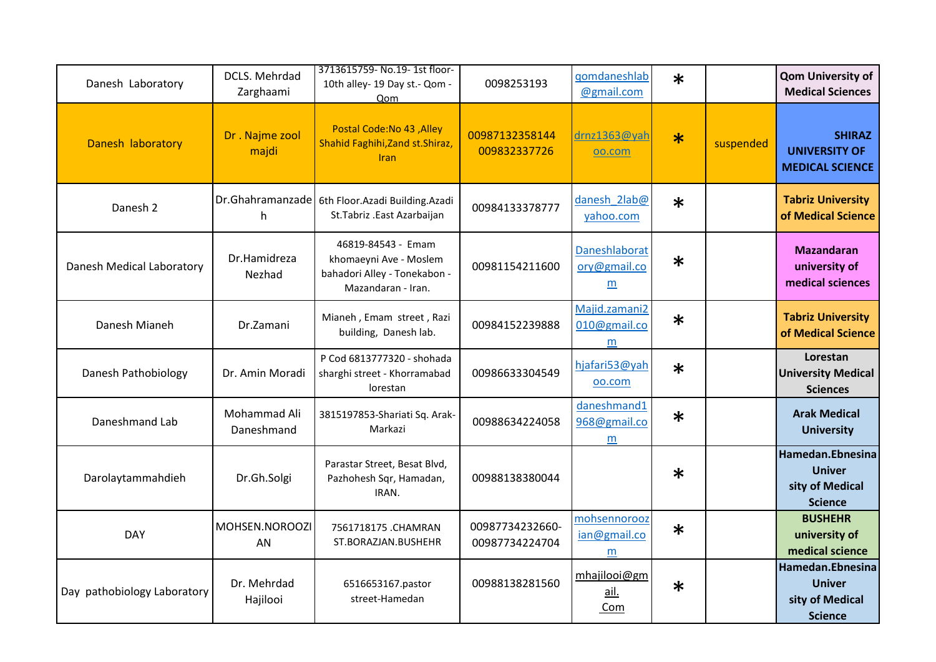| Danesh Laboratory           | DCLS. Mehrdad<br>Zarghaami | 3713615759- No.19- 1st floor-<br>10th alley- 19 Day st.- Qom -<br>Oom                              | 0098253193                        | qomdaneshlab<br>@gmail.com         | $\ast$ |           | <b>Qom University of</b><br><b>Medical Sciences</b>                    |
|-----------------------------|----------------------------|----------------------------------------------------------------------------------------------------|-----------------------------------|------------------------------------|--------|-----------|------------------------------------------------------------------------|
| Danesh laboratory           | Dr. Najme zool<br>majdi    | Postal Code: No 43, Alley<br>Shahid Faghihi, Zand st. Shiraz,<br><b>Iran</b>                       | 00987132358144<br>009832337726    | drnz1363@yah<br>oo.com             | $\ast$ | suspended | <b>SHIRAZ</b><br><b>UNIVERSITY OF</b><br><b>MEDICAL SCIENCE</b>        |
| Danesh 2                    | h                          | Dr.Ghahramanzade   6th Floor.Azadi Building.Azadi<br>St.Tabriz .East Azarbaijan                    | 00984133378777                    | danesh 2lab@<br>yahoo.com          | $\ast$ |           | <b>Tabriz University</b><br>of Medical Science                         |
| Danesh Medical Laboratory   | Dr.Hamidreza<br>Nezhad     | 46819-84543 - Emam<br>khomaeyni Ave - Moslem<br>bahadori Alley - Tonekabon -<br>Mazandaran - Iran. | 00981154211600                    | Daneshlaborat<br>ory@gmail.co<br>m | $\ast$ |           | <b>Mazandaran</b><br>university of<br>medical sciences                 |
| Danesh Mianeh               | Dr.Zamani                  | Mianeh, Emam street, Razi<br>building, Danesh lab.                                                 | 00984152239888                    | Majid.zamani2<br>010@gmail.co<br>m | $\ast$ |           | <b>Tabriz University</b><br>of Medical Science                         |
| Danesh Pathobiology         | Dr. Amin Moradi            | P Cod 6813777320 - shohada<br>sharghi street - Khorramabad<br>lorestan                             | 00986633304549                    | hjafari53@yah<br>00.com            | $\ast$ |           | Lorestan<br><b>University Medical</b><br><b>Sciences</b>               |
| Daneshmand Lab              | Mohammad Ali<br>Daneshmand | 3815197853-Shariati Sq. Arak-<br>Markazi                                                           | 00988634224058                    | daneshmand1<br>968@gmail.co<br>m   | $\ast$ |           | <b>Arak Medical</b><br><b>University</b>                               |
| Darolaytammahdieh           | Dr.Gh.Solgi                | Parastar Street, Besat Blvd,<br>Pazhohesh Sqr, Hamadan,<br>IRAN.                                   | 00988138380044                    |                                    | $\ast$ |           | Hamedan.Ebnesina<br><b>Univer</b><br>sity of Medical<br><b>Science</b> |
| <b>DAY</b>                  | MOHSEN.NOROOZI<br>AN       | 7561718175 .CHAMRAN<br>ST.BORAZJAN.BUSHEHR                                                         | 00987734232660-<br>00987734224704 | mohsennorooz<br>ian@gmail.co<br>m  | $\ast$ |           | <b>BUSHEHR</b><br>university of<br>medical science                     |
| Day pathobiology Laboratory | Dr. Mehrdad<br>Hajilooi    | 6516653167.pastor<br>street-Hamedan                                                                | 00988138281560                    | mhajilooi@gm<br>ail.<br>Com        | $\ast$ |           | Hamedan.Ebnesina<br><b>Univer</b><br>sity of Medical<br><b>Science</b> |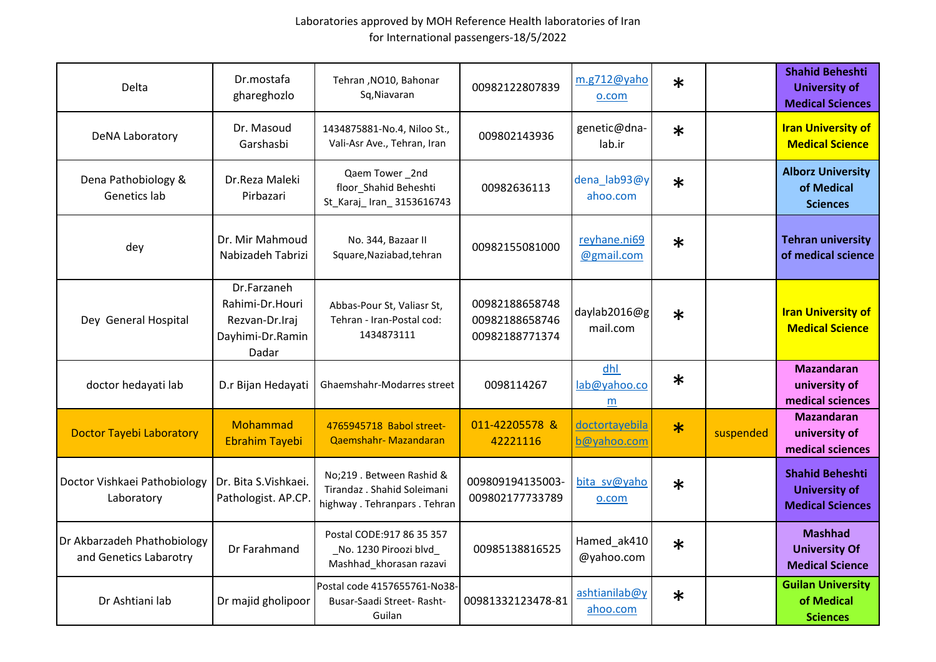| Delta                                                 | Dr.mostafa<br>ghareghozlo                                                     | Tehran , NO10, Bahonar<br>Sq, Niavaran                                                  | 00982122807839                                     | m.g712@yaho<br>o.com          | $\ast$ |           | <b>Shahid Beheshti</b><br><b>University of</b><br><b>Medical Sciences</b> |
|-------------------------------------------------------|-------------------------------------------------------------------------------|-----------------------------------------------------------------------------------------|----------------------------------------------------|-------------------------------|--------|-----------|---------------------------------------------------------------------------|
| DeNA Laboratory                                       | Dr. Masoud<br>Garshasbi                                                       | 1434875881-No.4, Niloo St.,<br>Vali-Asr Ave., Tehran, Iran                              | 009802143936                                       | genetic@dna-<br>lab.ir        | $\ast$ |           | <b>Iran University of</b><br><b>Medical Science</b>                       |
| Dena Pathobiology &<br>Genetics lab                   | Dr.Reza Maleki<br>Pirbazari                                                   | Qaem Tower_2nd<br>floor Shahid Beheshti<br>St_Karaj_Iran_3153616743                     | 00982636113                                        | dena_lab93@y<br>ahoo.com      | $\ast$ |           | <b>Alborz University</b><br>of Medical<br><b>Sciences</b>                 |
| dey                                                   | Dr. Mir Mahmoud<br>Nabizadeh Tabrizi                                          | No. 344, Bazaar II<br>Square, Naziabad, tehran                                          | 00982155081000                                     | reyhane.ni69<br>@gmail.com    | $\ast$ |           | <b>Tehran university</b><br>of medical science                            |
| Dey General Hospital                                  | Dr.Farzaneh<br>Rahimi-Dr.Houri<br>Rezvan-Dr.Iraj<br>Dayhimi-Dr.Ramin<br>Dadar | Abbas-Pour St, Valiasr St,<br>Tehran - Iran-Postal cod:<br>1434873111                   | 00982188658748<br>00982188658746<br>00982188771374 | daylab2016@g<br>mail.com      | $\ast$ |           | <b>Iran University of</b><br><b>Medical Science</b>                       |
| doctor hedayati lab                                   | D.r Bijan Hedayati                                                            | Ghaemshahr-Modarres street                                                              | 0098114267                                         | dhl<br>lab@yahoo.co<br>m      | $\ast$ |           | <b>Mazandaran</b><br>university of<br>medical sciences                    |
| <b>Doctor Tayebi Laboratory</b>                       | Mohammad<br><b>Ebrahim Tayebi</b>                                             | 4765945718 Babol street-<br>Qaemshahr-Mazandaran                                        | 011-42205578 &<br>42221116                         | doctortayebila<br>b@yahoo.com | $\ast$ | suspended | <b>Mazandaran</b><br>university of<br>medical sciences                    |
| Doctor Vishkaei Pathobiology<br>Laboratory            | Dr. Bita S.Vishkaei.<br>Pathologist. AP.CP                                    | No;219 . Between Rashid &<br>Tirandaz . Shahid Soleimani<br>highway. Tehranpars. Tehran | 009809194135003-<br>009802177733789                | bita sv@yaho<br>o.com         | $\ast$ |           | <b>Shahid Beheshti</b><br><b>University of</b><br><b>Medical Sciences</b> |
| Dr Akbarzadeh Phathobiology<br>and Genetics Labarotry | Dr Farahmand                                                                  | Postal CODE: 917 86 35 357<br>No. 1230 Piroozi blvd<br>Mashhad_khorasan razavi          | 00985138816525                                     | Hamed_ak410<br>@yahoo.com     | $\ast$ |           | <b>Mashhad</b><br><b>University Of</b><br><b>Medical Science</b>          |
| Dr Ashtiani lab                                       | Dr majid gholipoor                                                            | Postal code 4157655761-No38-<br>Busar-Saadi Street- Rasht-<br>Guilan                    | 00981332123478-81                                  | ashtianilab@y<br>ahoo.com     | $\ast$ |           | <b>Guilan University</b><br>of Medical<br><b>Sciences</b>                 |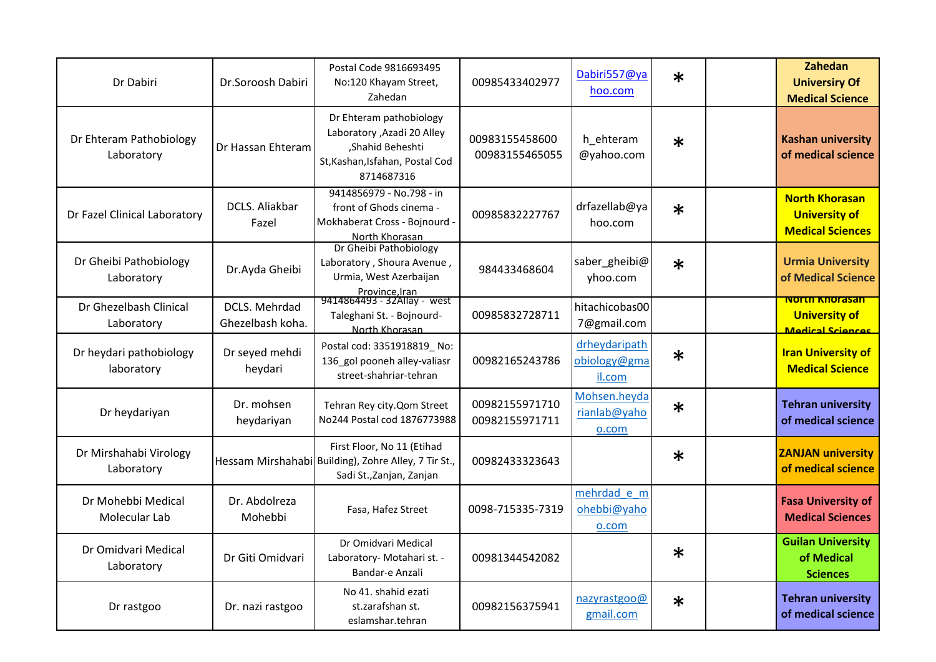| Dr Dabiri                             | Dr.Soroosh Dabiri                 | Postal Code 9816693495<br>No:120 Khayam Street,<br>Zahedan                                                                  | 00985433402977                   | Dabiri557@ya<br>hoo.com                 | $\ast$ | Zahedan<br><b>Universiry Of</b><br><b>Medical Science</b>                |
|---------------------------------------|-----------------------------------|-----------------------------------------------------------------------------------------------------------------------------|----------------------------------|-----------------------------------------|--------|--------------------------------------------------------------------------|
| Dr Ehteram Pathobiology<br>Laboratory | Dr Hassan Ehteram                 | Dr Ehteram pathobiology<br>Laboratory , Azadi 20 Alley<br>,Shahid Beheshti<br>St, Kashan, Isfahan, Postal Cod<br>8714687316 | 00983155458600<br>00983155465055 | h_ehteram<br>@yahoo.com                 | $\ast$ | <b>Kashan university</b><br>of medical science                           |
| Dr Fazel Clinical Laboratory          | DCLS. Aliakbar<br>Fazel           | 9414856979 - No.798 - in<br>front of Ghods cinema -<br>Mokhaberat Cross - Bojnourd<br>North Khorasan                        | 00985832227767                   | drfazellab@ya<br>hoo.com                | $\ast$ | <b>North Khorasan</b><br><b>University of</b><br><b>Medical Sciences</b> |
| Dr Gheibi Pathobiology<br>Laboratory  | Dr.Ayda Gheibi                    | Dr Gheibi Pathobiology<br>Laboratory, Shoura Avenue,<br>Urmia, West Azerbaijan                                              | 984433468604                     | saber_gheibi@<br>yhoo.com               | $\ast$ | <b>Urmia University</b><br>of Medical Science                            |
| Dr Ghezelbash Clinical<br>Laboratory  | DCLS. Mehrdad<br>Ghezelbash koha. | Province, Iran<br>9414864493 - 32Allay - west<br>Taleghani St. - Bojnourd-<br>North Khorasan                                | 00985832728711                   | hitachicobas00<br>7@gmail.com           |        | <b>North Knorasan</b><br><b>University of</b><br>Medical Sciences        |
| Dr heydari pathobiology<br>laboratory | Dr seyed mehdi<br>heydari         | Postal cod: 3351918819_No:<br>136 gol pooneh alley-valiasr<br>street-shahriar-tehran                                        | 00982165243786                   | drheydaripath<br>obiology@gma<br>il.com | $\ast$ | <b>Iran University of</b><br><b>Medical Science</b>                      |
| Dr heydariyan                         | Dr. mohsen<br>heydariyan          | Tehran Rey city. Qom Street<br>No244 Postal cod 1876773988                                                                  | 00982155971710<br>00982155971711 | Mohsen.heyda<br>rianlab@yaho<br>o.com   | $\ast$ | <b>Tehran university</b><br>of medical science                           |
| Dr Mirshahabi Virology<br>Laboratory  |                                   | First Floor, No 11 (Etihad<br>Hessam Mirshahabi Building), Zohre Alley, 7 Tir St.,<br>Sadi St., Zanjan, Zanjan              | 00982433323643                   |                                         | $\ast$ | <b>ZANJAN university</b><br>of medical science                           |
| Dr Mohebbi Medical<br>Molecular Lab   | Dr. Abdolreza<br>Mohebbi          | Fasa, Hafez Street                                                                                                          | 0098-715335-7319                 | mehrdad e m<br>ohebbi@yaho<br>o.com     |        | <b>Fasa University of</b><br><b>Medical Sciences</b>                     |
| Dr Omidvari Medical<br>Laboratory     | Dr Giti Omidvari                  | Dr Omidvari Medical<br>Laboratory- Motahari st. -<br>Bandar-e Anzali                                                        | 00981344542082                   |                                         | $\ast$ | <b>Guilan University</b><br>of Medical<br><b>Sciences</b>                |
| Dr rastgoo                            | Dr. nazi rastgoo                  | No 41. shahid ezati<br>st.zarafshan st.<br>eslamshar.tehran                                                                 | 00982156375941                   | nazyrastgoo@<br>gmail.com               | $\ast$ | <b>Tehran university</b><br>of medical science                           |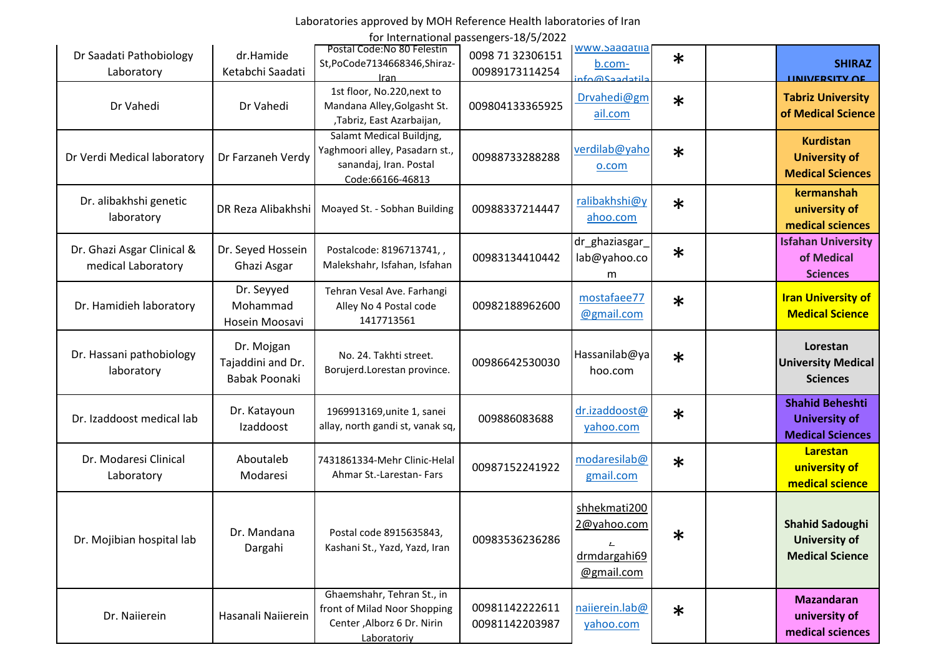# Laboratories approved by MOH Reference Health laboratories of Iran

for International passengers-18/5/2022

| Dr Saadati Pathobiology<br>Laboratory            | dr.Hamide<br>Ketabchi Saadati                    | Postal Code: No 80 Felestin<br>St,PoCode7134668346,Shiraz-<br>Iran                                       | 0098 71 32306151<br>00989173114254 | www.saadatiia<br>b.com-<br>rto@Saadatila                                  | $\ast$ | <b>SHIRAZ</b><br><b>HAIVERSITY OF</b>                                     |
|--------------------------------------------------|--------------------------------------------------|----------------------------------------------------------------------------------------------------------|------------------------------------|---------------------------------------------------------------------------|--------|---------------------------------------------------------------------------|
| Dr Vahedi                                        | Dr Vahedi                                        | 1st floor, No.220, next to<br>Mandana Alley, Golgasht St.<br>,Tabriz, East Azarbaijan,                   | 009804133365925                    | Drvahedi@gm<br>ail.com                                                    | $\ast$ | <b>Tabriz University</b><br>of Medical Science                            |
| Dr Verdi Medical laboratory                      | Dr Farzaneh Verdy                                | Salamt Medical Buildjng,<br>Yaghmoori alley, Pasadarn st.,<br>sanandaj, Iran. Postal<br>Code:66166-46813 | 00988733288288                     | verdilab@yaho<br>o.com                                                    | $\ast$ | <b>Kurdistan</b><br><b>University of</b><br><b>Medical Sciences</b>       |
| Dr. alibakhshi genetic<br>laboratory             | DR Reza Alibakhshi                               | Moayed St. - Sobhan Building                                                                             | 00988337214447                     | ralibakhshi@y<br>ahoo.com                                                 | $\ast$ | kermanshah<br>university of<br>medical sciences                           |
| Dr. Ghazi Asgar Clinical &<br>medical Laboratory | Dr. Seyed Hossein<br>Ghazi Asgar                 | Postalcode: 8196713741,,<br>Malekshahr, Isfahan, Isfahan                                                 | 00983134410442                     | dr_ghaziasgar_<br>lab@yahoo.co<br>m                                       | $\ast$ | <b>Isfahan University</b><br>of Medical<br><b>Sciences</b>                |
| Dr. Hamidieh laboratory                          | Dr. Seyyed<br>Mohammad<br>Hosein Moosavi         | Tehran Vesal Ave. Farhangi<br>Alley No 4 Postal code<br>1417713561                                       | 00982188962600                     | mostafaee77<br>@gmail.com                                                 | $\ast$ | <b>Iran University of</b><br><b>Medical Science</b>                       |
| Dr. Hassani pathobiology<br>laboratory           | Dr. Mojgan<br>Tajaddini and Dr.<br>Babak Poonaki | No. 24. Takhti street.<br>Borujerd.Lorestan province.                                                    | 00986642530030                     | Hassanilab@ya<br>hoo.com                                                  | $\ast$ | Lorestan<br><b>University Medical</b><br><b>Sciences</b>                  |
| Dr. Izaddoost medical lab                        | Dr. Katayoun<br>Izaddoost                        | 1969913169, unite 1, sanei<br>allay, north gandi st, vanak sq,                                           | 009886083688                       | dr.izaddoost@<br>yahoo.com                                                | $\ast$ | <b>Shahid Beheshti</b><br><b>University of</b><br><b>Medical Sciences</b> |
| Dr. Modaresi Clinical<br>Laboratory              | Aboutaleb<br>Modaresi                            | 7431861334-Mehr Clinic-Helal<br>Ahmar St.-Larestan- Fars                                                 | 00987152241922                     | modaresilab@<br>gmail.com                                                 | $\ast$ | Larestan<br>university of<br>medical science                              |
| Dr. Mojibian hospital lab                        | Dr. Mandana<br>Dargahi                           | Postal code 8915635843,<br>Kashani St., Yazd, Yazd, Iran                                                 | 00983536236286                     | shhekmati200<br>2@yahoo.com<br>$\mathbf{L}$<br>drmdargahi69<br>@gmail.com | $\ast$ | <b>Shahid Sadoughi</b><br><b>University of</b><br><b>Medical Science</b>  |
| Dr. Naiierein                                    | Hasanali Naiierein                               | Ghaemshahr, Tehran St., in<br>front of Milad Noor Shopping<br>Center, Alborz 6 Dr. Nirin<br>Laboratoriy  | 00981142222611<br>00981142203987   | naiierein.lab@<br>yahoo.com                                               | $\ast$ | <b>Mazandaran</b><br>university of<br>medical sciences                    |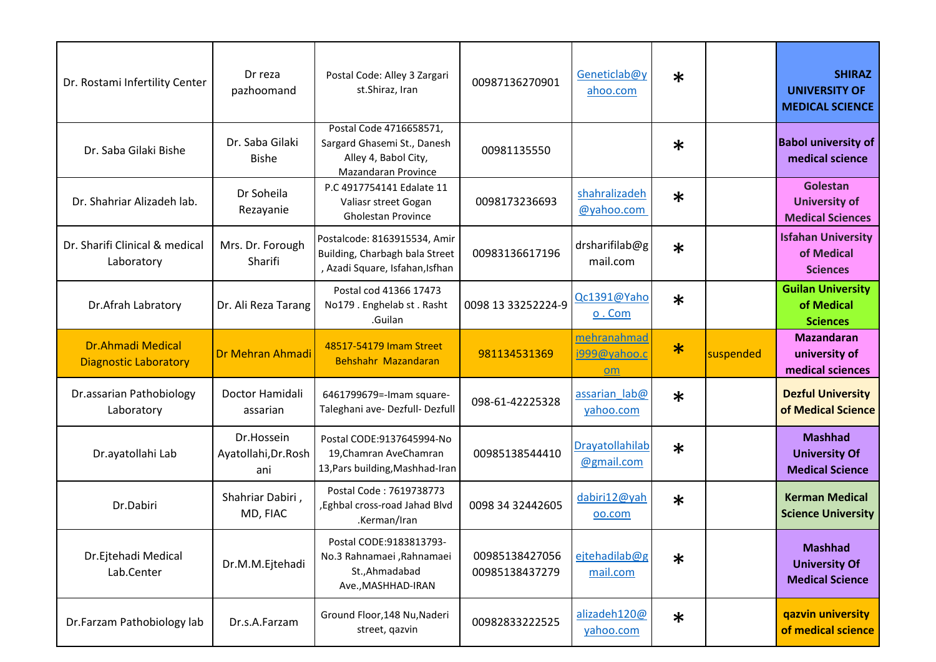| Dr. Rostami Infertility Center                           | Dr reza<br>pazhoomand                     | Postal Code: Alley 3 Zargari<br>st.Shiraz, Iran                                                       | 00987136270901                   | Geneticlab@y<br>ahoo.com          | $\ast$ |           | <b>SHIRAZ</b><br><b>UNIVERSITY OF</b><br><b>MEDICAL SCIENCE</b>  |
|----------------------------------------------------------|-------------------------------------------|-------------------------------------------------------------------------------------------------------|----------------------------------|-----------------------------------|--------|-----------|------------------------------------------------------------------|
| Dr. Saba Gilaki Bishe                                    | Dr. Saba Gilaki<br><b>Bishe</b>           | Postal Code 4716658571,<br>Sargard Ghasemi St., Danesh<br>Alley 4, Babol City,<br>Mazandaran Province | 00981135550                      |                                   | $\ast$ |           | <b>Babol university of</b><br>medical science                    |
| Dr. Shahriar Alizadeh lab.                               | Dr Soheila<br>Rezayanie                   | P.C 4917754141 Edalate 11<br>Valiasr street Gogan<br><b>Gholestan Province</b>                        | 0098173236693                    | shahralizadeh<br>@yahoo.com       | $\ast$ |           | Golestan<br><b>University of</b><br><b>Medical Sciences</b>      |
| Dr. Sharifi Clinical & medical<br>Laboratory             | Mrs. Dr. Forough<br>Sharifi               | Postalcode: 8163915534, Amir<br>Building, Charbagh bala Street<br>, Azadi Square, Isfahan, Isfhan     | 00983136617196                   | drsharifilab@g<br>mail.com        | $\ast$ |           | <b>Isfahan University</b><br>of Medical<br><b>Sciences</b>       |
| Dr.Afrah Labratory                                       | Dr. Ali Reza Tarang                       | Postal cod 41366 17473<br>No179. Enghelab st. Rasht<br>.Guilan                                        | 0098 13 33252224-9               | Qc1391@Yaho<br>$0.$ Com           | $\ast$ |           | <b>Guilan University</b><br>of Medical<br><b>Sciences</b>        |
| <b>Dr.Ahmadi Medical</b><br><b>Diagnostic Laboratory</b> | Dr Mehran Ahmadi                          | 48517-54179 Imam Street<br>Behshahr Mazandaran                                                        | 981134531369                     | mehranahmad<br>i999@yahoo.c<br>om | $\ast$ | suspended | <b>Mazandaran</b><br>university of<br>medical sciences           |
| Dr.assarian Pathobiology<br>Laboratory                   | Doctor Hamidali<br>assarian               | 6461799679=-Imam square-<br>Taleghani ave- Dezfull- Dezfull                                           | 098-61-42225328                  | assarian lab@<br>yahoo.com        | $\ast$ |           | <b>Dezful University</b><br>of Medical Science                   |
| Dr.ayatollahi Lab                                        | Dr.Hossein<br>Ayatollahi, Dr. Rosh<br>ani | Postal CODE:9137645994-No<br>19, Chamran Ave Chamran<br>13, Pars building, Mashhad-Iran               | 00985138544410                   | Drayatollahilab<br>@gmail.com     | $\ast$ |           | <b>Mashhad</b><br><b>University Of</b><br><b>Medical Science</b> |
| Dr.Dabiri                                                | Shahriar Dabiri,<br>MD, FIAC              | Postal Code: 7619738773<br>, Eghbal cross-road Jahad Blvd<br>.Kerman/Iran                             | 0098 34 32442605                 | dabiri12@yah<br>oo.com            | $\ast$ |           | <b>Kerman Medical</b><br><b>Science University</b>               |
| Dr.Ejtehadi Medical<br>Lab.Center                        | Dr.M.M.Ejtehadi                           | Postal CODE:9183813793-<br>No.3 Rahnamaei , Rahnamaei<br>St., Ahmadabad<br>Ave., MASHHAD-IRAN         | 00985138427056<br>00985138437279 | ejtehadilab@g<br>mail.com         | $\ast$ |           | <b>Mashhad</b><br><b>University Of</b><br><b>Medical Science</b> |
| Dr.Farzam Pathobiology lab                               | Dr.s.A.Farzam                             | Ground Floor, 148 Nu, Naderi<br>street, qazvin                                                        | 00982833222525                   | alizadeh120@<br>yahoo.com         | $\ast$ |           | qazvin university<br>of medical science                          |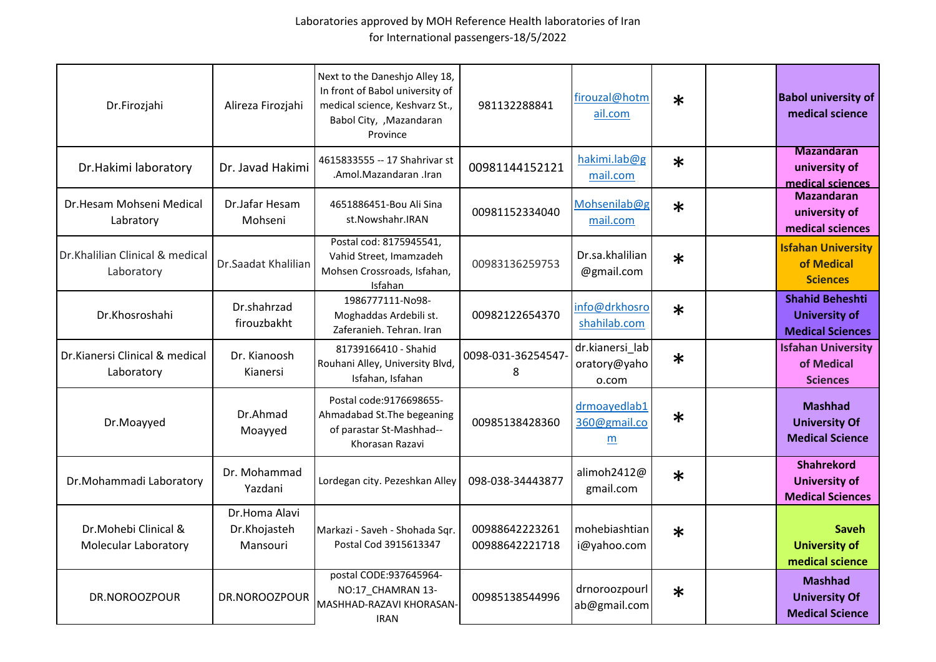| Dr.Firozjahi                                  | Alireza Firozjahi                         | Next to the Daneshjo Alley 18,<br>In front of Babol university of<br>medical science, Keshvarz St.,<br>Babol City, , Mazandaran<br>Province | 981132288841                     | firouzal@hotm<br>ail.com                 | $\ast$ | <b>Babol university of</b><br>medical science                             |
|-----------------------------------------------|-------------------------------------------|---------------------------------------------------------------------------------------------------------------------------------------------|----------------------------------|------------------------------------------|--------|---------------------------------------------------------------------------|
| Dr.Hakimi laboratory                          | Dr. Javad Hakimi                          | 4615833555 -- 17 Shahrivar st<br>.Amol.Mazandaran .Iran                                                                                     | 00981144152121                   | hakimi.lab@g<br>mail.com                 | $\ast$ | <b>Mazandaran</b><br>university of<br>medical sciences                    |
| Dr.Hesam Mohseni Medical<br>Labratory         | Dr.Jafar Hesam<br>Mohseni                 | 4651886451-Bou Ali Sina<br>st.Nowshahr.IRAN                                                                                                 | 00981152334040                   | Mohsenilab@g<br>mail.com                 | $\ast$ | <b>Mazandaran</b><br>university of<br>medical sciences                    |
| Dr.Khalilian Clinical & medical<br>Laboratory | Dr.Saadat Khalilian                       | Postal cod: 8175945541,<br>Vahid Street, Imamzadeh<br>Mohsen Crossroads, Isfahan,<br>Isfahan                                                | 00983136259753                   | Dr.sa.khalilian<br>@gmail.com            | $\ast$ | <b>Isfahan University</b><br>of Medical<br><b>Sciences</b>                |
| Dr.Khosroshahi                                | Dr.shahrzad<br>firouzbakht                | 1986777111-No98-<br>Moghaddas Ardebili st.<br>Zaferanieh, Tehran, Iran                                                                      | 00982122654370                   | info@drkhosro<br>shahilab.com            | $\ast$ | <b>Shahid Beheshti</b><br><b>University of</b><br><b>Medical Sciences</b> |
| Dr.Kianersi Clinical & medical<br>Laboratory  | Dr. Kianoosh<br>Kianersi                  | 81739166410 - Shahid<br>Rouhani Alley, University Blvd,<br>Isfahan, Isfahan                                                                 | 0098-031-36254547<br>8           | dr.kianersi_lab<br>oratory@yaho<br>o.com | $\ast$ | <b>Isfahan University</b><br>of Medical<br><b>Sciences</b>                |
| Dr.Moayyed                                    | Dr.Ahmad<br>Moayyed                       | Postal code: 9176698655-<br>Ahmadabad St. The begeaning<br>of parastar St-Mashhad--<br>Khorasan Razavi                                      | 00985138428360                   | drmoayedlab1<br>360@gmail.co<br>m        | $\ast$ | <b>Mashhad</b><br><b>University Of</b><br><b>Medical Science</b>          |
| Dr.Mohammadi Laboratory                       | Dr. Mohammad<br>Yazdani                   | Lordegan city. Pezeshkan Alley                                                                                                              | 098-038-34443877                 | alimoh2412@<br>gmail.com                 | $\ast$ | <b>Shahrekord</b><br><b>University of</b><br><b>Medical Sciences</b>      |
| Dr.Mohebi Clinical &<br>Molecular Laboratory  | Dr.Homa Alavi<br>Dr.Khojasteh<br>Mansouri | Markazi - Saveh - Shohada Sqr.<br>Postal Cod 3915613347                                                                                     | 00988642223261<br>00988642221718 | mohebiashtian<br>i@yahoo.com             | $\ast$ | Saveh<br><b>University of</b><br>medical science                          |
| DR.NOROOZPOUR                                 | DR.NOROOZPOUR                             | postal CODE:937645964-<br>NO:17 CHAMRAN 13-<br>MASHHAD-RAZAVI KHORASAN-<br><b>IRAN</b>                                                      | 00985138544996                   | drnoroozpourl<br>ab@gmail.com            | $\ast$ | <b>Mashhad</b><br><b>University Of</b><br><b>Medical Science</b>          |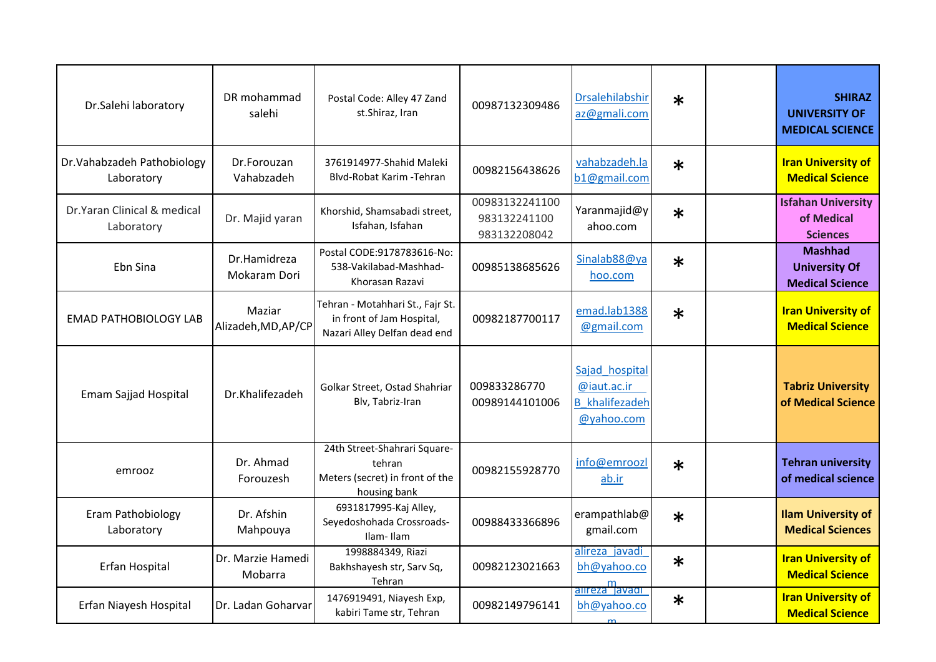| Dr.Salehi laboratory                      | DR mohammad<br>salehi         | Postal Code: Alley 47 Zand<br>st.Shiraz, Iran                                                 | 00987132309486                                 | <b>Drsalehilabshir</b><br>az@gmali.com                               | $\ast$ | <b>SHIRAZ</b><br><b>UNIVERSITY OF</b><br><b>MEDICAL SCIENCE</b>  |
|-------------------------------------------|-------------------------------|-----------------------------------------------------------------------------------------------|------------------------------------------------|----------------------------------------------------------------------|--------|------------------------------------------------------------------|
| Dr. Vahabzadeh Pathobiology<br>Laboratory | Dr.Forouzan<br>Vahabzadeh     | 3761914977-Shahid Maleki<br>Blyd-Robat Karim - Tehran                                         | 00982156438626                                 | vahabzadeh.la<br>b1@gmail.com                                        | $\ast$ | <b>Iran University of</b><br><b>Medical Science</b>              |
| Dr.Yaran Clinical & medical<br>Laboratory | Dr. Majid yaran               | Khorshid, Shamsabadi street,<br>Isfahan, Isfahan                                              | 00983132241100<br>983132241100<br>983132208042 | Yaranmajid@y<br>ahoo.com                                             | $\ast$ | <b>Isfahan University</b><br>of Medical<br><b>Sciences</b>       |
| Ebn Sina                                  | Dr.Hamidreza<br>Mokaram Dori  | Postal CODE:9178783616-No:<br>538-Vakilabad-Mashhad-<br>Khorasan Razavi                       | 00985138685626                                 | Sinalab88@ya<br>hoo.com                                              | $\ast$ | <b>Mashhad</b><br><b>University Of</b><br><b>Medical Science</b> |
| <b>EMAD PATHOBIOLOGY LAB</b>              | Maziar<br>Alizadeh, MD, AP/CP | Tehran - Motahhari St., Fajr St.<br>in front of Jam Hospital,<br>Nazari Alley Delfan dead end | 00982187700117                                 | emad.lab1388<br>@gmail.com                                           | $\ast$ | <b>Iran University of</b><br><b>Medical Science</b>              |
| Emam Sajjad Hospital                      | Dr.Khalifezadeh               | Golkar Street, Ostad Shahriar<br>Blv, Tabriz-Iran                                             | 009833286770<br>00989144101006                 | Sajad hospital<br>@iaut.ac.ir<br><b>B</b> khalifezadeh<br>@yahoo.com |        | <b>Tabriz University</b><br>of Medical Science                   |
| emrooz                                    | Dr. Ahmad<br>Forouzesh        | 24th Street-Shahrari Square-<br>tehran<br>Meters (secret) in front of the<br>housing bank     | 00982155928770                                 | info@emroozl<br>ab.ir                                                | $\ast$ | <b>Tehran university</b><br>of medical science                   |
| Eram Pathobiology<br>Laboratory           | Dr. Afshin<br>Mahpouya        | 6931817995-Kaj Alley,<br>Seyedoshohada Crossroads-<br>Ilam-Ilam                               | 00988433366896                                 | erampathlab@<br>gmail.com                                            | $\ast$ | <b>Ilam University of</b><br><b>Medical Sciences</b>             |
| Erfan Hospital                            | Dr. Marzie Hamedi<br>Mobarra  | 1998884349, Riazi<br>Bakhshayesh str, Sarv Sq,<br>Tehran                                      | 00982123021663                                 | alireza javadi<br>bh@yahoo.co<br>anreza <sup>m</sup> avadr           | $\ast$ | <b>Iran University of</b><br><b>Medical Science</b>              |
| Erfan Niayesh Hospital                    | Dr. Ladan Goharvar            | 1476919491, Niayesh Exp,<br>kabiri Tame str, Tehran                                           | 00982149796141                                 | bh@yahoo.co                                                          | $\ast$ | <b>Iran University of</b><br><b>Medical Science</b>              |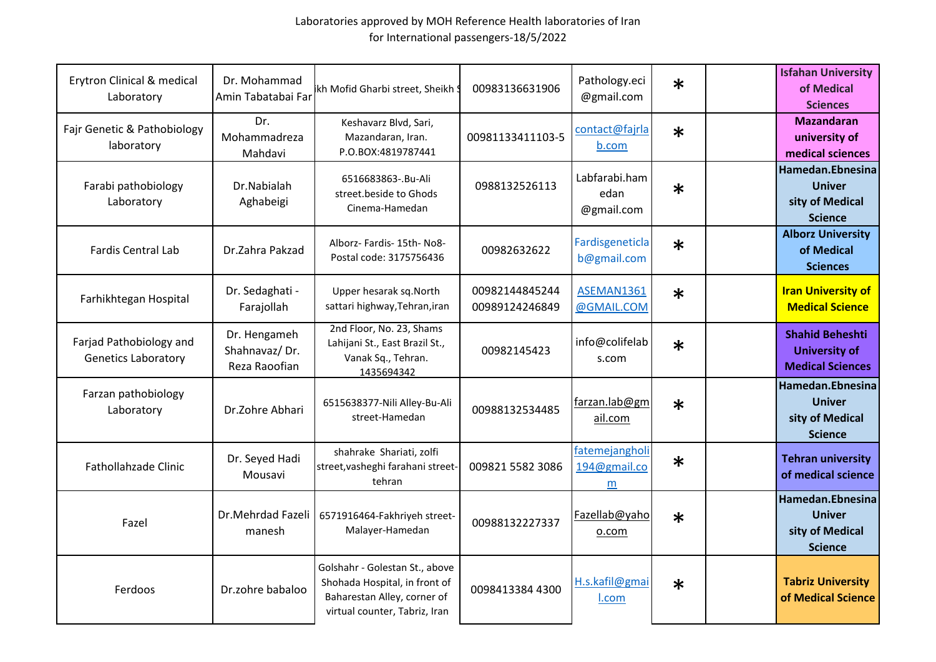| Erytron Clinical & medical<br>Laboratory              | Dr. Mohammad<br>Amin Tabatabai Far             | kh Mofid Gharbi street, Sheikh \$                                                                                               | 00983136631906                   | Pathology.eci<br>@gmail.com         | $\ast$ | <b>Isfahan University</b><br>of Medical<br><b>Sciences</b>                |
|-------------------------------------------------------|------------------------------------------------|---------------------------------------------------------------------------------------------------------------------------------|----------------------------------|-------------------------------------|--------|---------------------------------------------------------------------------|
| Fajr Genetic & Pathobiology<br>laboratory             | Dr.<br>Mohammadreza<br>Mahdavi                 | Keshavarz Blvd, Sari,<br>Mazandaran, Iran.<br>P.O.BOX:4819787441                                                                | 00981133411103-5                 | contact@fajrla<br>b.com             | $\ast$ | <b>Mazandaran</b><br>university of<br>medical sciences                    |
| Farabi pathobiology<br>Laboratory                     | Dr.Nabialah<br>Aghabeigi                       | 6516683863-.Bu-Ali<br>street.beside to Ghods<br>Cinema-Hamedan                                                                  | 0988132526113                    | Labfarabi.ham<br>edan<br>@gmail.com | $\ast$ | Hamedan.Ebnesina<br><b>Univer</b><br>sity of Medical<br><b>Science</b>    |
| <b>Fardis Central Lab</b>                             | Dr.Zahra Pakzad                                | Alborz- Fardis- 15th- No8-<br>Postal code: 3175756436                                                                           | 00982632622                      | Fardisgeneticla<br>b@gmail.com      | $\ast$ | <b>Alborz University</b><br>of Medical<br><b>Sciences</b>                 |
| Farhikhtegan Hospital                                 | Dr. Sedaghati -<br>Farajollah                  | Upper hesarak sq. North<br>sattari highway, Tehran, iran                                                                        | 00982144845244<br>00989124246849 | ASEMAN1361<br>@GMAIL.COM            | $\ast$ | <b>Iran University of</b><br><b>Medical Science</b>                       |
| Farjad Pathobiology and<br><b>Genetics Laboratory</b> | Dr. Hengameh<br>Shahnavaz/Dr.<br>Reza Raoofian | 2nd Floor, No. 23, Shams<br>Lahijani St., East Brazil St.,<br>Vanak Sq., Tehran.<br>1435694342                                  | 00982145423                      | info@colifelab<br>s.com             | $\ast$ | <b>Shahid Beheshti</b><br><b>University of</b><br><b>Medical Sciences</b> |
| Farzan pathobiology<br>Laboratory                     | Dr.Zohre Abhari                                | 6515638377-Nili Alley-Bu-Ali<br>street-Hamedan                                                                                  | 00988132534485                   | farzan.lab@gm<br>ail.com            | $\ast$ | Hamedan.Ebnesina<br><b>Univer</b><br>sity of Medical<br><b>Science</b>    |
| Fathollahzade Clinic                                  | Dr. Seyed Hadi<br>Mousavi                      | shahrake Shariati, zolfi<br>street, vasheghi farahani street-<br>tehran                                                         | 009821 5582 3086                 | fatemejangholi<br>194@gmail.co<br>m | $\ast$ | <b>Tehran university</b><br>of medical science                            |
| Fazel                                                 | Dr.Mehrdad Fazeli<br>manesh                    | 6571916464-Fakhriyeh street-<br>Malayer-Hamedan                                                                                 | 00988132227337                   | Fazellab@yaho<br>o.com              | $\ast$ | Hamedan.Ebnesina<br><b>Univer</b><br>sity of Medical<br><b>Science</b>    |
| Ferdoos                                               | Dr.zohre babaloo                               | Golshahr - Golestan St., above<br>Shohada Hospital, in front of<br>Baharestan Alley, corner of<br>virtual counter, Tabriz, Iran | 0098413384 4300                  | H.s.kafil@gmai<br>l.com             | $\ast$ | <b>Tabriz University</b><br>of Medical Science                            |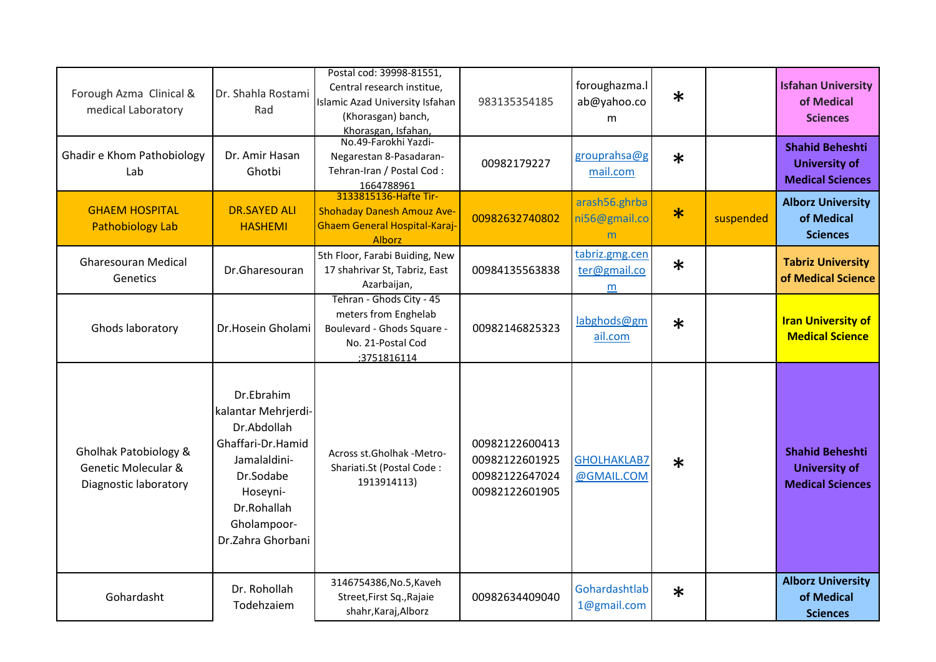| Forough Azma Clinical &<br>medical Laboratory                                    | Dr. Shahla Rostami<br>Rad                                                                                                                                         | Postal cod: 39998-81551,<br>Central research institue,<br>Islamic Azad University Isfahan<br>(Khorasgan) banch,    | 983135354185                                                         | foroughazma.l<br>ab@yahoo.co<br>m   | $\ast$ |           | <b>Isfahan University</b><br>of Medical<br><b>Sciences</b>                |
|----------------------------------------------------------------------------------|-------------------------------------------------------------------------------------------------------------------------------------------------------------------|--------------------------------------------------------------------------------------------------------------------|----------------------------------------------------------------------|-------------------------------------|--------|-----------|---------------------------------------------------------------------------|
| Ghadir e Khom Pathobiology<br>Lab                                                | Dr. Amir Hasan<br>Ghotbi                                                                                                                                          | Khorasgan, Isfahan,<br>No.49-Farokhi Yazdi-<br>Negarestan 8-Pasadaran-<br>Tehran-Iran / Postal Cod:<br>1664788961  | 00982179227                                                          | grouprahsa@g<br>mail.com            | $\ast$ |           | <b>Shahid Beheshti</b><br><b>University of</b><br><b>Medical Sciences</b> |
| <b>GHAEM HOSPITAL</b><br><b>Pathobiology Lab</b>                                 | <b>DR.SAYED ALI</b><br><b>HASHEMI</b>                                                                                                                             | 3133815136-Hafte Tir-<br><b>Shohaday Danesh Amouz Ave-</b><br>Ghaem General Hospital-Karaj-<br><b>Alborz</b>       | 00982632740802                                                       | arash56.ghrba<br>ni56@gmail.co<br>m | $\ast$ | suspended | <b>Alborz University</b><br>of Medical<br><b>Sciences</b>                 |
| <b>Gharesouran Medical</b><br>Genetics                                           | Dr.Gharesouran                                                                                                                                                    | 5th Floor, Farabi Buiding, New<br>17 shahrivar St, Tabriz, East<br>Azarbaijan,                                     | 00984135563838                                                       | tabriz.gmg.cen<br>ter@gmail.co<br>m | $\ast$ |           | <b>Tabriz University</b><br>of Medical Science                            |
| Ghods laboratory                                                                 | Dr.Hosein Gholami                                                                                                                                                 | Tehran - Ghods City - 45<br>meters from Enghelab<br>Boulevard - Ghods Square -<br>No. 21-Postal Cod<br>;3751816114 | 00982146825323                                                       | labghods@gm<br>ail.com              | $\ast$ |           | <b>Iran University of</b><br><b>Medical Science</b>                       |
| Gholhak Patobiology &<br><b>Genetic Molecular &amp;</b><br>Diagnostic laboratory | Dr.Ebrahim<br>kalantar Mehrjerdi-<br>Dr.Abdollah<br>Ghaffari-Dr.Hamid<br>Jamalaldini-<br>Dr.Sodabe<br>Hoseyni-<br>Dr.Rohallah<br>Gholampoor-<br>Dr.Zahra Ghorbani | Across st.Gholhak -Metro-<br>Shariati.St (Postal Code:<br>1913914113)                                              | 00982122600413<br>00982122601925<br>00982122647024<br>00982122601905 | <b>GHOLHAKLAB7</b><br>@GMAIL.COM    | $\ast$ |           | <b>Shahid Beheshti</b><br><b>University of</b><br><b>Medical Sciences</b> |
| Gohardasht                                                                       | Dr. Rohollah<br>Todehzaiem                                                                                                                                        | 3146754386, No.5, Kaveh<br>Street, First Sq., Rajaie<br>shahr, Karaj, Alborz                                       | 00982634409040                                                       | Gohardashtlab<br>1@gmail.com        | $\ast$ |           | <b>Alborz University</b><br>of Medical<br><b>Sciences</b>                 |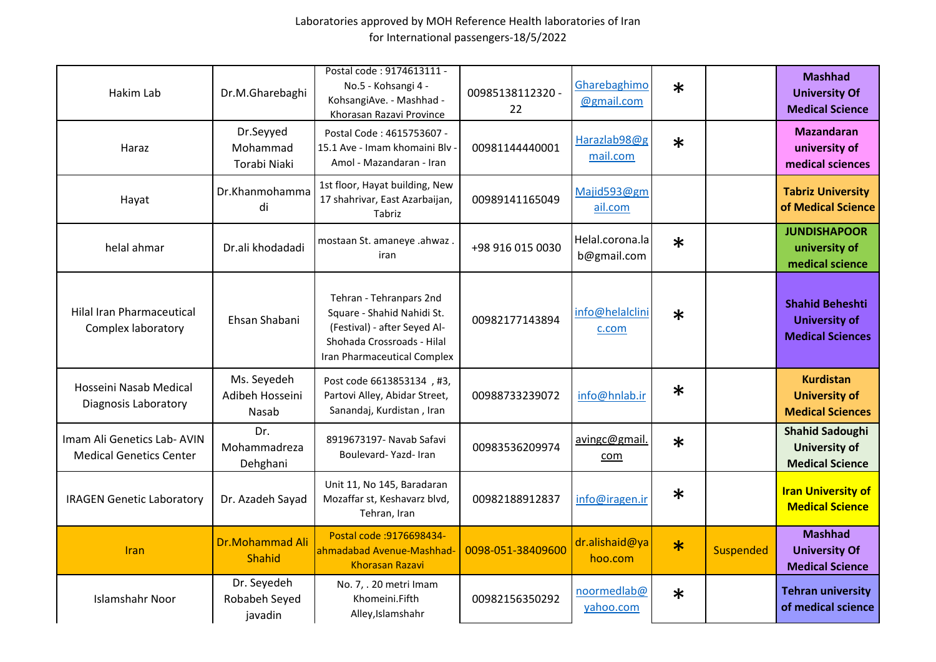| Hakim Lab                                                     | Dr.M.Gharebaghi                         | Postal code: 9174613111 -<br>No.5 - Kohsangi 4 -<br>KohsangiAve. - Mashhad -<br>Khorasan Razavi Province                                           | 00985138112320 -<br>22 | Gharebaghimo<br>@gmail.com     | $\ast$ |           | <b>Mashhad</b><br><b>University Of</b><br><b>Medical Science</b>          |
|---------------------------------------------------------------|-----------------------------------------|----------------------------------------------------------------------------------------------------------------------------------------------------|------------------------|--------------------------------|--------|-----------|---------------------------------------------------------------------------|
| Haraz                                                         | Dr.Seyyed<br>Mohammad<br>Torabi Niaki   | Postal Code: 4615753607 -<br>15.1 Ave - Imam khomaini Blv<br>Amol - Mazandaran - Iran                                                              | 00981144440001         | Harazlab98@g<br>mail.com       | $\ast$ |           | <b>Mazandaran</b><br>university of<br>medical sciences                    |
| Hayat                                                         | Dr.Khanmohamma<br>di                    | 1st floor, Hayat building, New<br>17 shahrivar, East Azarbaijan,<br>Tabriz                                                                         | 00989141165049         | Majid593@gm<br>ail.com         |        |           | <b>Tabriz University</b><br>of Medical Science                            |
| helal ahmar                                                   | Dr.ali khodadadi                        | mostaan St. amaneye .ahwaz.<br>iran                                                                                                                | +98 916 015 0030       | Helal.corona.la<br>b@gmail.com | $\ast$ |           | <b>JUNDISHAPOOR</b><br>university of<br>medical science                   |
| <b>Hilal Iran Pharmaceutical</b><br>Complex laboratory        | Ehsan Shabani                           | Tehran - Tehranpars 2nd<br>Square - Shahid Nahidi St.<br>(Festival) - after Seyed Al-<br>Shohada Crossroads - Hilal<br>Iran Pharmaceutical Complex | 00982177143894         | info@helalclini<br>c.com       | $\ast$ |           | <b>Shahid Beheshti</b><br><b>University of</b><br><b>Medical Sciences</b> |
| Hosseini Nasab Medical<br><b>Diagnosis Laboratory</b>         | Ms. Seyedeh<br>Adibeh Hosseini<br>Nasab | Post code 6613853134, #3,<br>Partovi Alley, Abidar Street,<br>Sanandaj, Kurdistan, Iran                                                            | 00988733239072         | info@hnlab.ir                  | $\ast$ |           | <b>Kurdistan</b><br><b>University of</b><br><b>Medical Sciences</b>       |
| Imam Ali Genetics Lab- AVIN<br><b>Medical Genetics Center</b> | Dr.<br>Mohammadreza<br>Dehghani         | 8919673197- Navab Safavi<br>Boulevard-Yazd-Iran                                                                                                    | 00983536209974         | avingc@gmail.<br>com           | $\ast$ |           | <b>Shahid Sadoughi</b><br><b>University of</b><br><b>Medical Science</b>  |
| <b>IRAGEN Genetic Laboratory</b>                              | Dr. Azadeh Sayad                        | Unit 11, No 145, Baradaran<br>Mozaffar st, Keshavarz blvd,<br>Tehran, Iran                                                                         | 00982188912837         | info@iragen.ir                 | $\ast$ |           | <b>Iran University of</b><br><b>Medical Science</b>                       |
| Iran                                                          | <b>Dr.Mohammad Ali</b><br><b>Shahid</b> | Postal code : 9176698434-<br>ahmadabad Avenue-Mashhad<br><b>Khorasan Razavi</b>                                                                    | 0098-051-38409600      | dr.alishaid@ya<br>hoo.com      | $\ast$ | Suspended | <b>Mashhad</b><br><b>University Of</b><br><b>Medical Science</b>          |
| <b>Islamshahr Noor</b>                                        | Dr. Seyedeh<br>Robabeh Seyed<br>javadin | No. 7, . 20 metri Imam<br>Khomeini.Fifth<br>Alley, Islamshahr                                                                                      | 00982156350292         | noormedlab@<br>yahoo.com       | $\ast$ |           | <b>Tehran university</b><br>of medical science                            |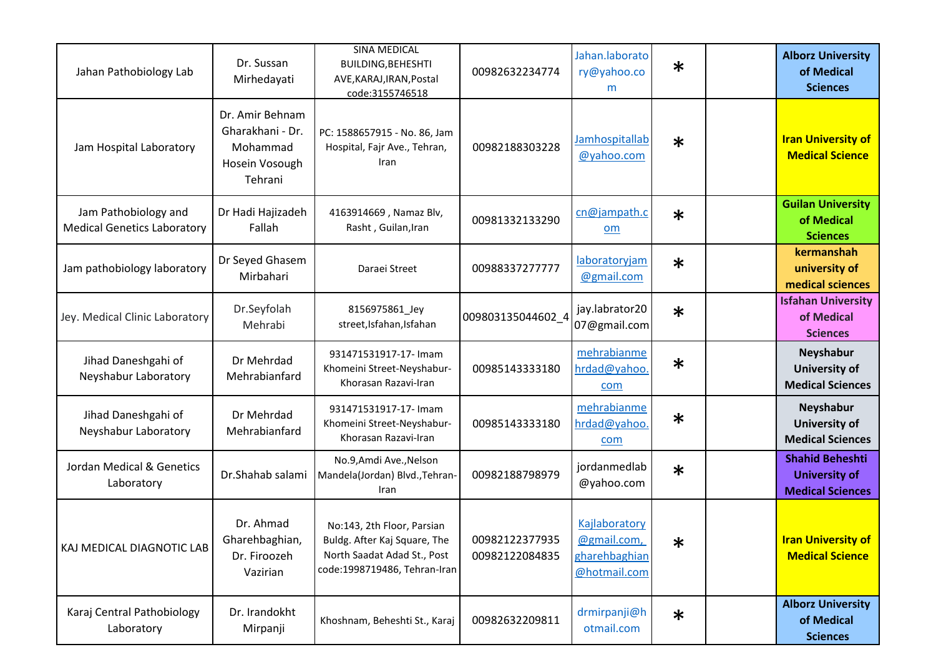| Jahan Pathobiology Lab                                     | Dr. Sussan<br>Mirhedayati                                                    | <b>SINA MEDICAL</b><br>BUILDING, BEHESHTI<br>AVE, KARAJ, IRAN, Postal<br>code:3155746518                                  | 00982632234774                   | Jahan.laborato<br>ry@yahoo.co<br>m                            | $\ast$ | <b>Alborz University</b><br>of Medical<br><b>Sciences</b>                 |
|------------------------------------------------------------|------------------------------------------------------------------------------|---------------------------------------------------------------------------------------------------------------------------|----------------------------------|---------------------------------------------------------------|--------|---------------------------------------------------------------------------|
| Jam Hospital Laboratory                                    | Dr. Amir Behnam<br>Gharakhani - Dr.<br>Mohammad<br>Hosein Vosough<br>Tehrani | PC: 1588657915 - No. 86, Jam<br>Hospital, Fajr Ave., Tehran,<br>Iran                                                      | 00982188303228                   | Jamhospitallab<br>@yahoo.com                                  | $\ast$ | <b>Iran University of</b><br><b>Medical Science</b>                       |
| Jam Pathobiology and<br><b>Medical Genetics Laboratory</b> | Dr Hadi Hajizadeh<br>Fallah                                                  | 4163914669, Namaz Blv,<br>Rasht, Guilan, Iran                                                                             | 00981332133290                   | cn@jampath.c<br>om                                            | $\ast$ | <b>Guilan University</b><br>of Medical<br><b>Sciences</b>                 |
| Jam pathobiology laboratory                                | Dr Seyed Ghasem<br>Mirbahari                                                 | Daraei Street                                                                                                             | 00988337277777                   | laboratoryjam<br>@gmail.com                                   | $\ast$ | kermanshah<br>university of<br>medical sciences                           |
| Jey. Medical Clinic Laboratory                             | Dr.Seyfolah<br>Mehrabi                                                       | 8156975861_Jey<br>street, Isfahan, Isfahan                                                                                | 009803135044602 4                | jay.labrator20<br>07@gmail.com                                | $\ast$ | <b>Isfahan University</b><br>of Medical<br><b>Sciences</b>                |
| Jihad Daneshgahi of<br>Neyshabur Laboratory                | Dr Mehrdad<br>Mehrabianfard                                                  | 931471531917-17- Imam<br>Khomeini Street-Neyshabur-<br>Khorasan Razavi-Iran                                               | 00985143333180                   | mehrabianme<br>hrdad@yahoo<br>com                             | $\ast$ | Neyshabur<br><b>University of</b><br><b>Medical Sciences</b>              |
| Jihad Daneshgahi of<br>Neyshabur Laboratory                | Dr Mehrdad<br>Mehrabianfard                                                  | 931471531917-17- Imam<br>Khomeini Street-Neyshabur-<br>Khorasan Razavi-Iran                                               | 00985143333180                   | mehrabianme<br>hrdad@yahoo<br>com                             | $\ast$ | Neyshabur<br><b>University of</b><br><b>Medical Sciences</b>              |
| Jordan Medical & Genetics<br>Laboratory                    | Dr.Shahab salami                                                             | No.9, Amdi Ave., Nelson<br>Mandela(Jordan) Blvd., Tehran-<br>Iran                                                         | 00982188798979                   | jordanmedlab<br>@yahoo.com                                    | $\ast$ | <b>Shahid Beheshti</b><br><b>University of</b><br><b>Medical Sciences</b> |
| KAJ MEDICAL DIAGNOTIC LAB                                  | Dr. Ahmad<br>Gharehbaghian,<br>Dr. Firoozeh<br>Vazirian                      | No:143, 2th Floor, Parsian<br>Buldg. After Kaj Square, The<br>North Saadat Adad St., Post<br>code:1998719486, Tehran-Iran | 00982122377935<br>00982122084835 | Kajlaboratory<br>@gmail.com,<br>gharehbaghian<br>@hotmail.com | ∗      | <b>Iran University of</b><br><b>Medical Science</b>                       |
| Karaj Central Pathobiology<br>Laboratory                   | Dr. Irandokht<br>Mirpanji                                                    | Khoshnam, Beheshti St., Karaj                                                                                             | 00982632209811                   | drmirpanji@h<br>otmail.com                                    | $\ast$ | <b>Alborz University</b><br>of Medical<br><b>Sciences</b>                 |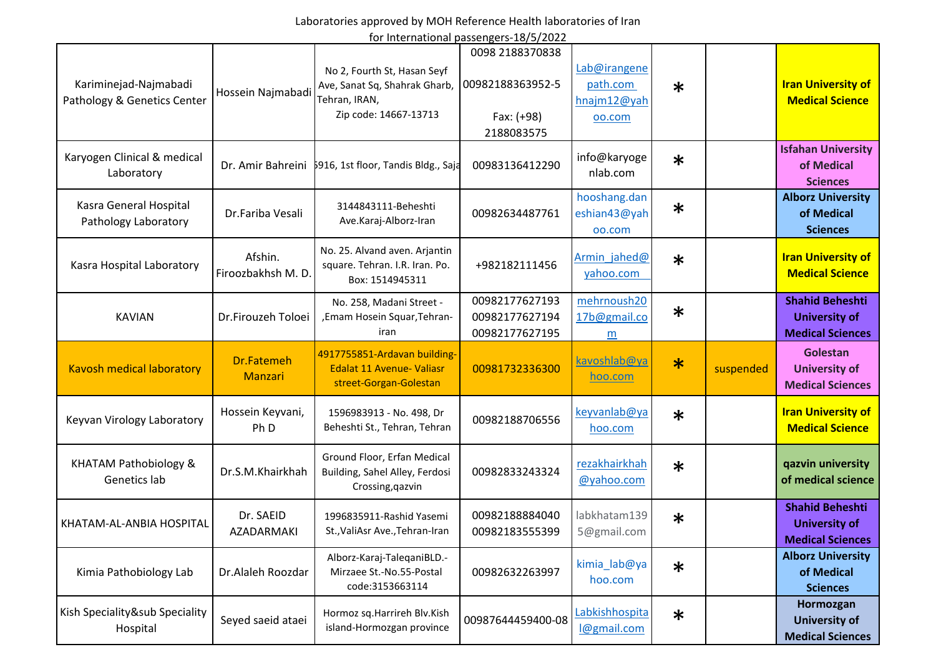for International passengers-18/5/2022

|                                                      |                                     |                                                                                                        | ioi international passengers-10/3/2022                          |                                                   |        |           |                                                                           |
|------------------------------------------------------|-------------------------------------|--------------------------------------------------------------------------------------------------------|-----------------------------------------------------------------|---------------------------------------------------|--------|-----------|---------------------------------------------------------------------------|
| Kariminejad-Najmabadi<br>Pathology & Genetics Center | Hossein Najmabadi                   | No 2, Fourth St, Hasan Seyf<br>Ave, Sanat Sq, Shahrak Gharb,<br>Tehran, IRAN,<br>Zip code: 14667-13713 | 0098 2188370838<br>00982188363952-5<br>Fax: (+98)<br>2188083575 | Lab@irangene<br>path.com<br>hnajm12@yah<br>00.com | $\ast$ |           | <b>Iran University of</b><br><b>Medical Science</b>                       |
| Karyogen Clinical & medical<br>Laboratory            |                                     | Dr. Amir Bahreini 5916, 1st floor, Tandis Bldg., Saja                                                  | 00983136412290                                                  | info@karyoge<br>nlab.com                          | $\ast$ |           | <b>Isfahan University</b><br>of Medical<br><b>Sciences</b>                |
| Kasra General Hospital<br>Pathology Laboratory       | Dr.Fariba Vesali                    | 3144843111-Beheshti<br>Ave.Karaj-Alborz-Iran                                                           | 00982634487761                                                  | hooshang.dan<br>eshian43@yah<br>oo.com            | $\ast$ |           | <b>Alborz University</b><br>of Medical<br><b>Sciences</b>                 |
| Kasra Hospital Laboratory                            | Afshin.<br>Firoozbakhsh M.D.        | No. 25. Alvand aven. Arjantin<br>square. Tehran. I.R. Iran. Po.<br>Box: 1514945311                     | +982182111456                                                   | Armin jahed@<br>yahoo.com                         | $\ast$ |           | <b>Iran University of</b><br><b>Medical Science</b>                       |
| <b>KAVIAN</b>                                        | Dr.Firouzeh Toloei                  | No. 258, Madani Street -<br>, Emam Hosein Squar, Tehran-<br>iran                                       | 00982177627193<br>00982177627194<br>00982177627195              | mehrnoush20<br>17b@gmail.co<br>m                  | $\ast$ |           | <b>Shahid Beheshti</b><br><b>University of</b><br><b>Medical Sciences</b> |
| <b>Kavosh medical laboratory</b>                     | Dr.Fatemeh<br><b>Manzari</b>        | 4917755851-Ardavan building-<br><b>Edalat 11 Avenue- Valiasr</b><br>street-Gorgan-Golestan             | 00981732336300                                                  | kavoshlab@ya<br>hoo.com                           | $\ast$ | suspended | Golestan<br><b>University of</b><br><b>Medical Sciences</b>               |
| Keyvan Virology Laboratory                           | Hossein Keyvani,<br>Ph <sub>D</sub> | 1596983913 - No. 498, Dr<br>Beheshti St., Tehran, Tehran                                               | 00982188706556                                                  | keyvanlab@ya<br>hoo.com                           | $\ast$ |           | <b>Iran University of</b><br><b>Medical Science</b>                       |
| <b>KHATAM Pathobiology &amp;</b><br>Genetics lab     | Dr.S.M.Khairkhah                    | Ground Floor, Erfan Medical<br>Building, Sahel Alley, Ferdosi<br>Crossing, qazvin                      | 00982833243324                                                  | rezakhairkhah<br>@yahoo.com                       | $\ast$ |           | qazvin university<br>of medical science                                   |
| KHATAM-AL-ANBIA HOSPITAL                             | Dr. SAEID<br>AZADARMAKI             | 1996835911-Rashid Yasemi<br>St., ValiAsr Ave., Tehran-Iran                                             | 00982188884040<br>00982183555399                                | labkhatam139<br>5@gmail.com                       | $\ast$ |           | <b>Shahid Beheshti</b><br><b>University of</b><br><b>Medical Sciences</b> |
| Kimia Pathobiology Lab                               | Dr.Alaleh Roozdar                   | Alborz-Karaj-TaleqaniBLD.-<br>Mirzaee St.-No.55-Postal<br>code:3153663114                              | 00982632263997                                                  | kimia_lab@ya<br>hoo.com                           | $\ast$ |           | <b>Alborz University</b><br>of Medical<br><b>Sciences</b>                 |
| Kish Speciality⊂ Speciality<br>Hospital              | Seyed saeid ataei                   | Hormoz sq. Harrireh Blv. Kish<br>island-Hormozgan province                                             | 00987644459400-08                                               | Labkishhospita<br>l@gmail.com                     | $\ast$ |           | Hormozgan<br><b>University of</b><br><b>Medical Sciences</b>              |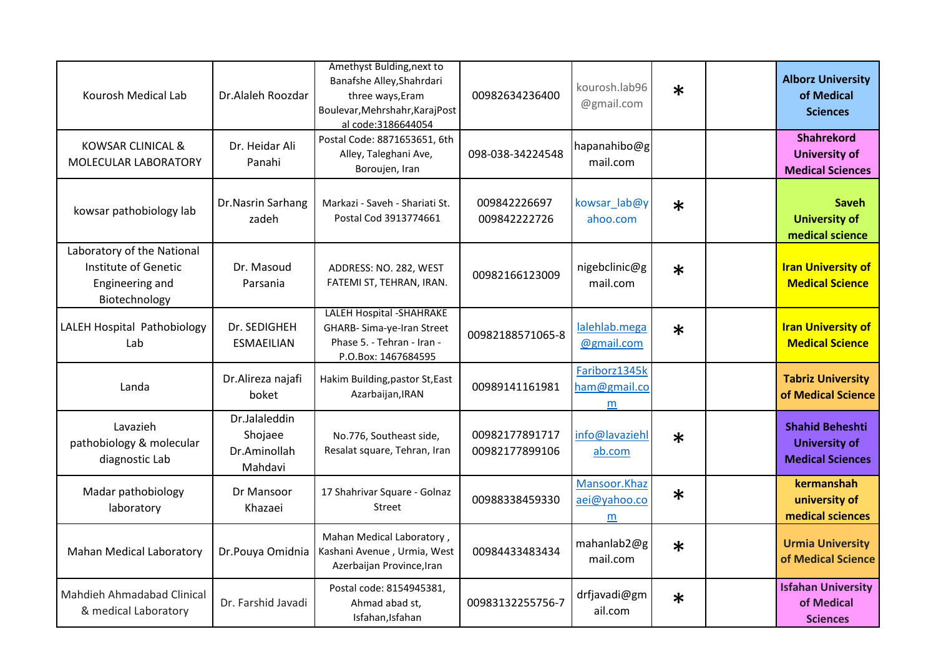| Kourosh Medical Lab                                                                    | Dr.Alaleh Roozdar                                   | Amethyst Bulding, next to<br>Banafshe Alley, Shahrdari<br>three ways, Eram<br>Boulevar, Mehrshahr, Karaj Post<br>al code:3186644054 | 00982634236400                   | kourosh.lab96<br>@gmail.com        | $\ast$ | <b>Alborz University</b><br>of Medical<br><b>Sciences</b>                 |
|----------------------------------------------------------------------------------------|-----------------------------------------------------|-------------------------------------------------------------------------------------------------------------------------------------|----------------------------------|------------------------------------|--------|---------------------------------------------------------------------------|
| <b>KOWSAR CLINICAL &amp;</b><br>MOLECULAR LABORATORY                                   | Dr. Heidar Ali<br>Panahi                            | Postal Code: 8871653651, 6th<br>Alley, Taleghani Ave,<br>Boroujen, Iran                                                             | 098-038-34224548                 | hapanahibo@g<br>mail.com           |        | <b>Shahrekord</b><br><b>University of</b><br><b>Medical Sciences</b>      |
| kowsar pathobiology lab                                                                | Dr.Nasrin Sarhang<br>zadeh                          | Markazi - Saveh - Shariati St.<br>Postal Cod 3913774661                                                                             | 009842226697<br>009842222726     | kowsar_lab@y<br>ahoo.com           | $\ast$ | <b>Saveh</b><br><b>University of</b><br>medical science                   |
| Laboratory of the National<br>Institute of Genetic<br>Engineering and<br>Biotechnology | Dr. Masoud<br>Parsania                              | ADDRESS: NO. 282, WEST<br>FATEMI ST, TEHRAN, IRAN.                                                                                  | 00982166123009                   | nigebclinic@g<br>mail.com          | $\ast$ | <b>Iran University of</b><br><b>Medical Science</b>                       |
| LALEH Hospital Pathobiology<br>Lab                                                     | Dr. SEDIGHEH<br><b>ESMAEILIAN</b>                   | <b>LALEH Hospital - SHAHRAKE</b><br>GHARB- Sima-ye-Iran Street<br>Phase 5. - Tehran - Iran -<br>P.O.Box: 1467684595                 | 00982188571065-8                 | lalehlab.mega<br>@gmail.com        | $\ast$ | <b>Iran University of</b><br><b>Medical Science</b>                       |
| Landa                                                                                  | Dr.Alireza najafi<br>boket                          | Hakim Building, pastor St, East<br>Azarbaijan, IRAN                                                                                 | 00989141161981                   | Fariborz1345k<br>ham@gmail.co<br>m |        | <b>Tabriz University</b><br>of Medical Science                            |
| Lavazieh<br>pathobiology & molecular<br>diagnostic Lab                                 | Dr.Jalaleddin<br>Shojaee<br>Dr.Aminollah<br>Mahdavi | No.776, Southeast side,<br>Resalat square, Tehran, Iran                                                                             | 00982177891717<br>00982177899106 | info@lavaziehl<br>ab.com           | $\ast$ | <b>Shahid Beheshti</b><br><b>University of</b><br><b>Medical Sciences</b> |
| Madar pathobiology<br>laboratory                                                       | Dr Mansoor<br>Khazaei                               | 17 Shahrivar Square - Golnaz<br><b>Street</b>                                                                                       | 00988338459330                   | Mansoor.Khaz<br>aei@yahoo.co<br>m  | $\ast$ | kermanshah<br>university of<br>medical sciences                           |
| <b>Mahan Medical Laboratory</b>                                                        | Dr.Pouya Omidnia                                    | Mahan Medical Laboratory,<br>Kashani Avenue, Urmia, West<br>Azerbaijan Province, Iran                                               | 00984433483434                   | mahanlab2@g<br>mail.com            | $\ast$ | <b>Urmia University</b><br>of Medical Science                             |
| Mahdieh Ahmadabad Clinical<br>& medical Laboratory                                     | Dr. Farshid Javadi                                  | Postal code: 8154945381,<br>Ahmad abad st,<br>Isfahan, Isfahan                                                                      | 00983132255756-7                 | drfjavadi@gm<br>ail.com            | $\ast$ | <b>Isfahan University</b><br>of Medical<br><b>Sciences</b>                |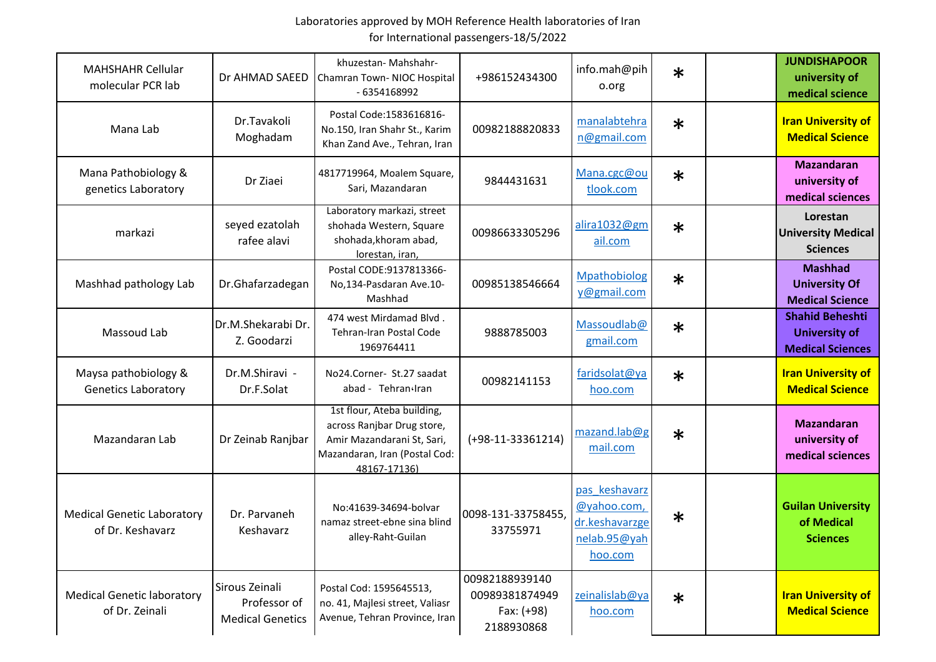| <b>MAHSHAHR Cellular</b><br>molecular PCR lab         | Dr AHMAD SAEED                                            | khuzestan-Mahshahr-<br>Chamran Town- NIOC Hospital<br>- 6354168992                                                                      | +986152434300                                                | info.mah@pih<br>o.org                                                     | $\ast$ | <b>JUNDISHAPOOR</b><br>university of<br>medical science                   |
|-------------------------------------------------------|-----------------------------------------------------------|-----------------------------------------------------------------------------------------------------------------------------------------|--------------------------------------------------------------|---------------------------------------------------------------------------|--------|---------------------------------------------------------------------------|
| Mana Lab                                              | Dr.Tavakoli<br>Moghadam                                   | Postal Code: 1583616816-<br>No.150, Iran Shahr St., Karim<br>Khan Zand Ave., Tehran, Iran                                               | 00982188820833                                               | manalabtehra<br>n@gmail.com                                               | $\ast$ | <b>Iran University of</b><br><b>Medical Science</b>                       |
| Mana Pathobiology &<br>genetics Laboratory            | Dr Ziaei                                                  | 4817719964, Moalem Square,<br>Sari, Mazandaran                                                                                          | 9844431631                                                   | Mana.cgc@ou<br>tlook.com                                                  | $\ast$ | <b>Mazandaran</b><br>university of<br>medical sciences                    |
| markazi                                               | seyed ezatolah<br>rafee alavi                             | Laboratory markazi, street<br>shohada Western, Square<br>shohada, khoram abad,<br>lorestan, iran,                                       | 00986633305296                                               | alira1032@gm<br>ail.com                                                   | $\ast$ | Lorestan<br><b>University Medical</b><br><b>Sciences</b>                  |
| Mashhad pathology Lab                                 | Dr.Ghafarzadegan                                          | Postal CODE:9137813366-<br>No,134-Pasdaran Ave.10-<br>Mashhad                                                                           | 00985138546664                                               | Mpathobiolog<br>y@gmail.com                                               | $\ast$ | <b>Mashhad</b><br><b>University Of</b><br><b>Medical Science</b>          |
| Massoud Lab                                           | Dr.M.Shekarabi Dr.<br>Z. Goodarzi                         | 474 west Mirdamad Blvd.<br>Tehran-Iran Postal Code<br>1969764411                                                                        | 9888785003                                                   | Massoudlab@<br>gmail.com                                                  | $\ast$ | <b>Shahid Beheshti</b><br><b>University of</b><br><b>Medical Sciences</b> |
| Maysa pathobiology &<br><b>Genetics Laboratory</b>    | Dr.M.Shiravi -<br>Dr.F.Solat                              | No24.Corner- St.27 saadat<br>abad - Tehran Iran                                                                                         | 00982141153                                                  | faridsolat@ya<br>hoo.com                                                  | $\ast$ | <b>Iran University of</b><br><b>Medical Science</b>                       |
| Mazandaran Lab                                        | Dr Zeinab Ranjbar                                         | 1st flour, Ateba building,<br>across Ranjbar Drug store,<br>Amir Mazandarani St, Sari,<br>Mazandaran, Iran (Postal Cod:<br>48167-17136) | $(+98-11-33361214)$                                          | mazand.lab@g<br>mail.com                                                  | $\ast$ | <b>Mazandaran</b><br>university of<br>medical sciences                    |
| <b>Medical Genetic Laboratory</b><br>of Dr. Keshavarz | Dr. Parvaneh<br>Keshavarz                                 | No:41639-34694-bolvar<br>namaz street-ebne sina blind<br>alley-Raht-Guilan                                                              | 0098-131-33758455,<br>33755971                               | pas keshavarz<br>@yahoo.com,<br>dr.keshavarzge<br>nelab.95@yah<br>hoo.com | $\ast$ | <b>Guilan University</b><br>of Medical<br><b>Sciences</b>                 |
| <b>Medical Genetic laboratory</b><br>of Dr. Zeinali   | Sirous Zeinali<br>Professor of<br><b>Medical Genetics</b> | Postal Cod: 1595645513,<br>no. 41, Majlesi street, Valiasr<br>Avenue, Tehran Province, Iran                                             | 00982188939140<br>00989381874949<br>Fax: (+98)<br>2188930868 | zeinalislab@ya<br>hoo.com                                                 | $\ast$ | <b>Iran University of</b><br><b>Medical Science</b>                       |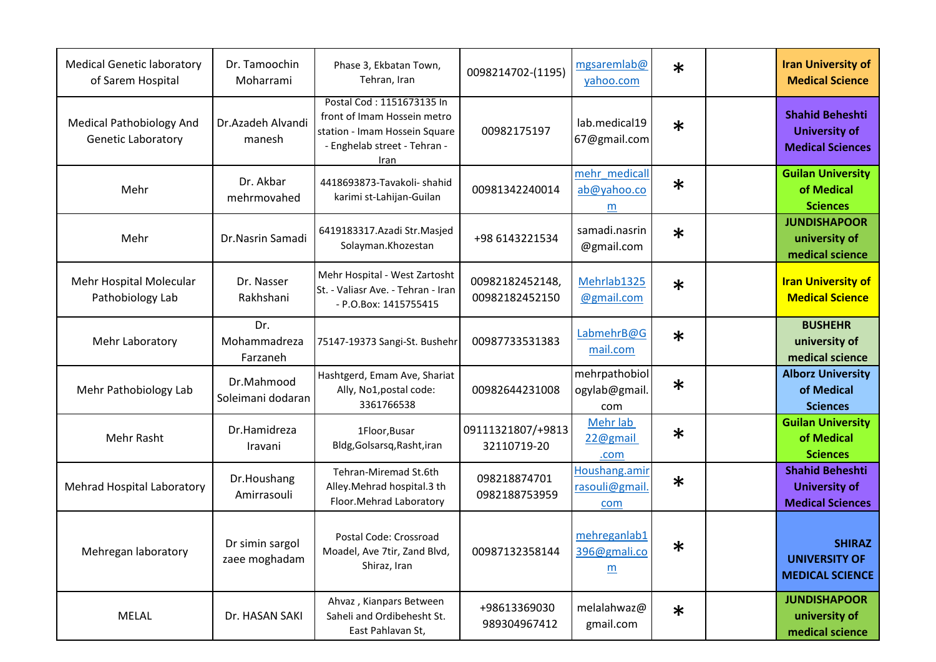| <b>Medical Genetic laboratory</b><br>of Sarem Hospital       | Dr. Tamoochin<br>Moharrami       | Phase 3, Ekbatan Town,<br>Tehran, Iran                                                                                            | 0098214702-(1195)                 | mgsaremlab@<br>yahoo.com              | $\ast$ | <b>Iran University of</b><br><b>Medical Science</b>                       |
|--------------------------------------------------------------|----------------------------------|-----------------------------------------------------------------------------------------------------------------------------------|-----------------------------------|---------------------------------------|--------|---------------------------------------------------------------------------|
| <b>Medical Pathobiology And</b><br><b>Genetic Laboratory</b> | Dr.Azadeh Alvandi<br>manesh      | Postal Cod: 1151673135 In<br>front of Imam Hossein metro<br>station - Imam Hossein Square<br>- Enghelab street - Tehran -<br>Iran | 00982175197                       | lab.medical19<br>67@gmail.com         | $\ast$ | <b>Shahid Beheshti</b><br><b>University of</b><br><b>Medical Sciences</b> |
| Mehr                                                         | Dr. Akbar<br>mehrmovahed         | 4418693873-Tavakoli- shahid<br>karimi st-Lahijan-Guilan                                                                           | 00981342240014                    | mehr medicall<br>ab@yahoo.co<br>m     | $\ast$ | <b>Guilan University</b><br>of Medical<br><b>Sciences</b>                 |
| Mehr                                                         | Dr.Nasrin Samadi                 | 6419183317.Azadi Str.Masjed<br>Solayman.Khozestan                                                                                 | +98 6143221534                    | samadi.nasrin<br>@gmail.com           | $\ast$ | <b>JUNDISHAPOOR</b><br>university of<br>medical science                   |
| Mehr Hospital Molecular<br>Pathobiology Lab                  | Dr. Nasser<br>Rakhshani          | Mehr Hospital - West Zartosht<br>St. - Valiasr Ave. - Tehran - Iran<br>- P.O.Box: 1415755415                                      | 00982182452148,<br>00982182452150 | Mehrlab1325<br>@gmail.com             | $\ast$ | <b>Iran University of</b><br><b>Medical Science</b>                       |
| Mehr Laboratory                                              | Dr.<br>Mohammadreza<br>Farzaneh  | 75147-19373 Sangi-St. Bushehr                                                                                                     | 00987733531383                    | LabmehrB@G<br>mail.com                | $\ast$ | <b>BUSHEHR</b><br>university of<br>medical science                        |
| Mehr Pathobiology Lab                                        | Dr.Mahmood<br>Soleimani dodaran  | Hashtgerd, Emam Ave, Shariat<br>Ally, No1, postal code:<br>3361766538                                                             | 00982644231008                    | mehrpathobiol<br>ogylab@gmail<br>com  | $\ast$ | <b>Alborz University</b><br>of Medical<br><b>Sciences</b>                 |
| Mehr Rasht                                                   | Dr.Hamidreza<br>Iravani          | 1Floor, Busar<br>Bldg, Golsarsq, Rasht, iran                                                                                      | 09111321807/+9813<br>32110719-20  | Mehr lab<br>22@gmail<br>.com          | $\ast$ | <b>Guilan University</b><br>of Medical<br><b>Sciences</b>                 |
| Mehrad Hospital Laboratory                                   | Dr.Houshang<br>Amirrasouli       | Tehran-Miremad St.6th<br>Alley. Mehrad hospital. 3 th<br>Floor. Mehrad Laboratory                                                 | 098218874701<br>0982188753959     | Houshang.amir<br>rasouli@gmail<br>com | $\ast$ | <b>Shahid Beheshti</b><br><b>University of</b><br><b>Medical Sciences</b> |
| Mehregan laboratory                                          | Dr simin sargol<br>zaee moghadam | Postal Code: Crossroad<br>Moadel, Ave 7tir, Zand Blvd,<br>Shiraz, Iran                                                            | 00987132358144                    | mehreganlab1<br>396@gmali.co<br>m     | $\ast$ | <b>SHIRAZ</b><br><b>UNIVERSITY OF</b><br><b>MEDICAL SCIENCE</b>           |
| MELAL                                                        | Dr. HASAN SAKI                   | Ahvaz, Kianpars Between<br>Saheli and Ordibehesht St.<br>East Pahlavan St,                                                        | +98613369030<br>989304967412      | melalahwaz@<br>gmail.com              | $\ast$ | <b>JUNDISHAPOOR</b><br>university of<br>medical science                   |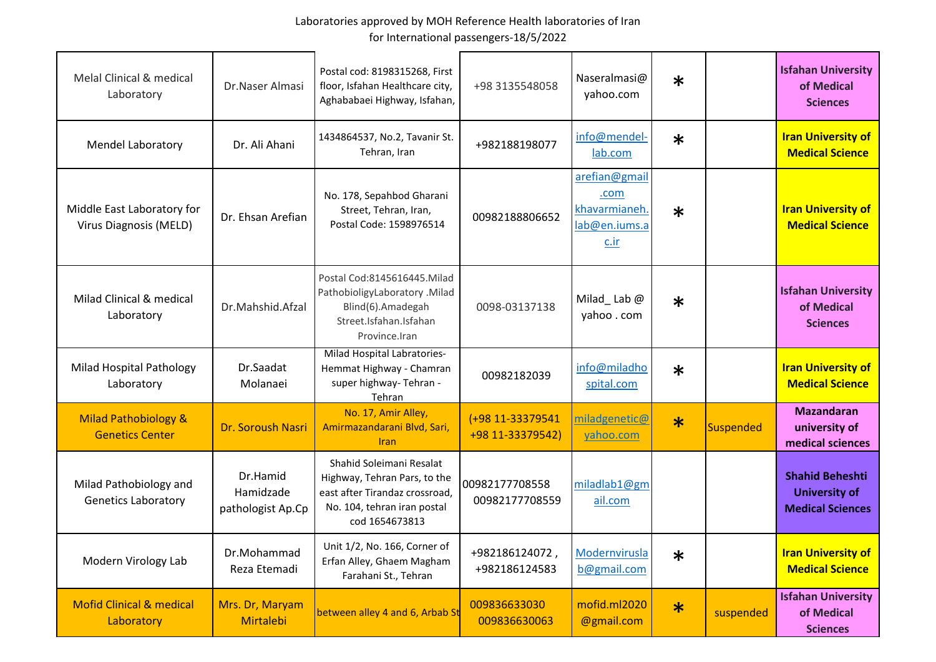| Melal Clinical & medical<br>Laboratory                    | Dr.Naser Almasi                            | Postal cod: 8198315268, First<br>floor, Isfahan Healthcare city,<br>Aghababaei Highway, Isfahan,                                            | +98 3135548058                       | Naseralmasi@<br>yahoo.com                                         | $\ast$ |           | <b>Isfahan University</b><br>of Medical<br><b>Sciences</b>                |
|-----------------------------------------------------------|--------------------------------------------|---------------------------------------------------------------------------------------------------------------------------------------------|--------------------------------------|-------------------------------------------------------------------|--------|-----------|---------------------------------------------------------------------------|
| <b>Mendel Laboratory</b>                                  | Dr. Ali Ahani                              | 1434864537, No.2, Tavanir St.<br>Tehran, Iran                                                                                               | +982188198077                        | info@mendel-<br>lab.com                                           | $\ast$ |           | <b>Iran University of</b><br><b>Medical Science</b>                       |
| Middle East Laboratory for<br>Virus Diagnosis (MELD)      | Dr. Ehsan Arefian                          | No. 178, Sepahbod Gharani<br>Street, Tehran, Iran,<br>Postal Code: 1598976514                                                               | 00982188806652                       | arefian@gmail<br>.com<br>khavarmianeh<br>lab@en.iums.a<br>$c$ .ir | $\ast$ |           | <b>Iran University of</b><br><b>Medical Science</b>                       |
| Milad Clinical & medical<br>Laboratory                    | Dr.Mahshid.Afzal                           | Postal Cod:8145616445.Milad<br>PathobioligyLaboratory . Milad<br>Blind(6).Amadegah<br>Street.Isfahan.Isfahan<br>Province.Iran               | 0098-03137138                        | Milad_Lab $@$<br>yahoo . com                                      | $\ast$ |           | <b>Isfahan University</b><br>of Medical<br><b>Sciences</b>                |
| <b>Milad Hospital Pathology</b><br>Laboratory             | Dr.Saadat<br>Molanaei                      | Milad Hospital Labratories-<br>Hemmat Highway - Chamran<br>super highway- Tehran -<br>Tehran                                                | 00982182039                          | info@miladho<br>spital.com                                        | $\ast$ |           | <b>Iran University of</b><br><b>Medical Science</b>                       |
| <b>Milad Pathobiology &amp;</b><br><b>Genetics Center</b> | Dr. Soroush Nasri                          | No. 17, Amir Alley,<br>Amirmazandarani Blvd, Sari,<br><b>Iran</b>                                                                           | (+98 11-33379541<br>+98 11-33379542) | miladgenetic@<br>yahoo.com                                        | $\ast$ | Suspended | <b>Mazandaran</b><br>university of<br>medical sciences                    |
| Milad Pathobiology and<br><b>Genetics Laboratory</b>      | Dr.Hamid<br>Hamidzade<br>pathologist Ap.Cp | Shahid Soleimani Resalat<br>Highway, Tehran Pars, to the<br>east after Tirandaz crossroad,<br>No. 104, tehran iran postal<br>cod 1654673813 | 00982177708558<br>00982177708559     | miladlab1@gm<br>ail.com                                           |        |           | <b>Shahid Beheshti</b><br><b>University of</b><br><b>Medical Sciences</b> |
| Modern Virology Lab                                       | Dr.Mohammad<br>Reza Etemadi                | Unit 1/2, No. 166, Corner of<br>Erfan Alley, Ghaem Magham<br>Farahani St., Tehran                                                           | +982186124072,<br>+982186124583      | Modernvirusla<br>b@gmail.com                                      | $\ast$ |           | <b>Iran University of</b><br><b>Medical Science</b>                       |
| <b>Mofid Clinical &amp; medical</b><br>Laboratory         | Mrs. Dr, Maryam<br><b>Mirtalebi</b>        | between alley 4 and 6, Arbab St                                                                                                             | 009836633030<br>009836630063         | mofid.ml2020<br>@gmail.com                                        | $\ast$ | suspended | <b>Isfahan University</b><br>of Medical<br><b>Sciences</b>                |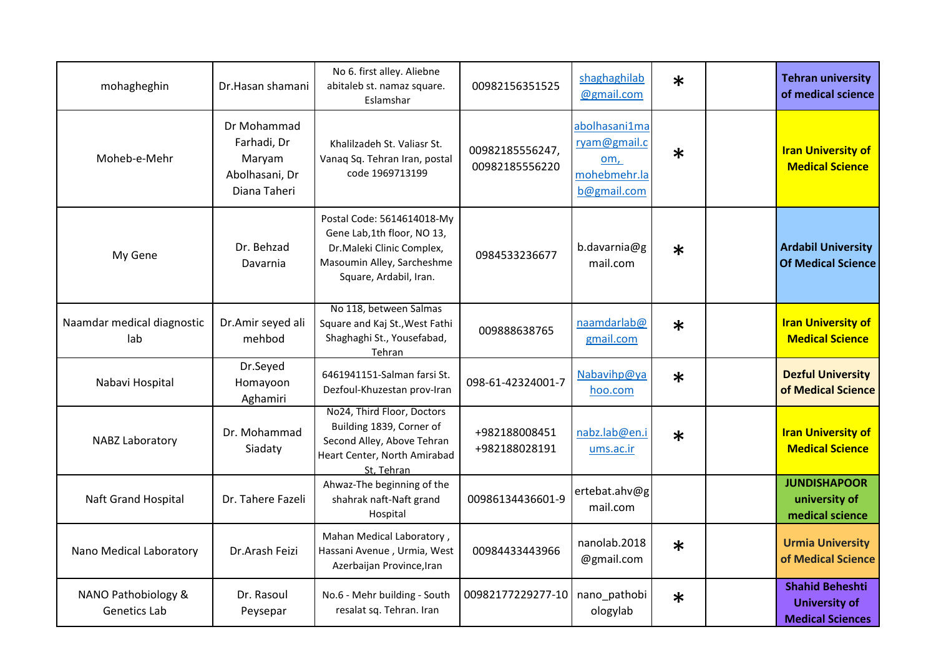| mohagheghin                         | Dr.Hasan shamani                                                       | No 6. first alley. Aliebne<br>abitaleb st. namaz square.<br>Eslamshar                                                                         | 00982156351525                    | shaghaghilab<br>@gmail.com                                          | $\ast$ | <b>Tehran university</b><br>of medical science                            |
|-------------------------------------|------------------------------------------------------------------------|-----------------------------------------------------------------------------------------------------------------------------------------------|-----------------------------------|---------------------------------------------------------------------|--------|---------------------------------------------------------------------------|
| Moheb-e-Mehr                        | Dr Mohammad<br>Farhadi, Dr<br>Maryam<br>Abolhasani, Dr<br>Diana Taheri | Khalilzadeh St. Valiasr St.<br>Vanaq Sq. Tehran Iran, postal<br>code 1969713199                                                               | 00982185556247,<br>00982185556220 | abolhasani1ma<br>ryam@gmail.c<br>om,<br>mohebmehr.la<br>b@gmail.com | $\ast$ | <b>Iran University of</b><br><b>Medical Science</b>                       |
| My Gene                             | Dr. Behzad<br>Davarnia                                                 | Postal Code: 5614614018-My<br>Gene Lab,1th floor, NO 13,<br>Dr.Maleki Clinic Complex,<br>Masoumin Alley, Sarcheshme<br>Square, Ardabil, Iran. | 0984533236677                     | b.davarnia@g<br>mail.com                                            | $\ast$ | <b>Ardabil University</b><br><b>Of Medical Science</b>                    |
| Naamdar medical diagnostic<br>lab   | Dr.Amir seyed ali<br>mehbod                                            | No 118, between Salmas<br>Square and Kaj St., West Fathi<br>Shaghaghi St., Yousefabad,<br>Tehran                                              | 009888638765                      | naamdarlab@<br>gmail.com                                            | $\ast$ | <b>Iran University of</b><br><b>Medical Science</b>                       |
| Nabavi Hospital                     | Dr.Seyed<br>Homayoon<br>Aghamiri                                       | 6461941151-Salman farsi St.<br>Dezfoul-Khuzestan prov-Iran                                                                                    | 098-61-42324001-7                 | Nabavihp@ya<br>hoo.com                                              | $\ast$ | <b>Dezful University</b><br>of Medical Science                            |
| NABZ Laboratory                     | Dr. Mohammad<br>Siadaty                                                | No24, Third Floor, Doctors<br>Building 1839, Corner of<br>Second Alley, Above Tehran<br>Heart Center, North Amirabad<br>St, Tehran            | +982188008451<br>+982188028191    | nabz.lab@en.i<br>ums.ac.ir                                          | $\ast$ | <b>Iran University of</b><br><b>Medical Science</b>                       |
| Naft Grand Hospital                 | Dr. Tahere Fazeli                                                      | Ahwaz-The beginning of the<br>shahrak naft-Naft grand<br>Hospital                                                                             | 00986134436601-9                  | ertebat.ahv@g<br>mail.com                                           |        | <b>JUNDISHAPOOR</b><br>university of<br>medical science                   |
| Nano Medical Laboratory             | Dr.Arash Feizi                                                         | Mahan Medical Laboratory,<br>Hassani Avenue, Urmia, West<br>Azerbaijan Province, Iran                                                         | 00984433443966                    | nanolab.2018<br>@gmail.com                                          | $\ast$ | <b>Urmia University</b><br>of Medical Science                             |
| NANO Pathobiology &<br>Genetics Lab | Dr. Rasoul<br>Peysepar                                                 | No.6 - Mehr building - South<br>resalat sq. Tehran. Iran                                                                                      | 00982177229277-10                 | nano_pathobi<br>ologylab                                            | $\ast$ | <b>Shahid Beheshti</b><br><b>University of</b><br><b>Medical Sciences</b> |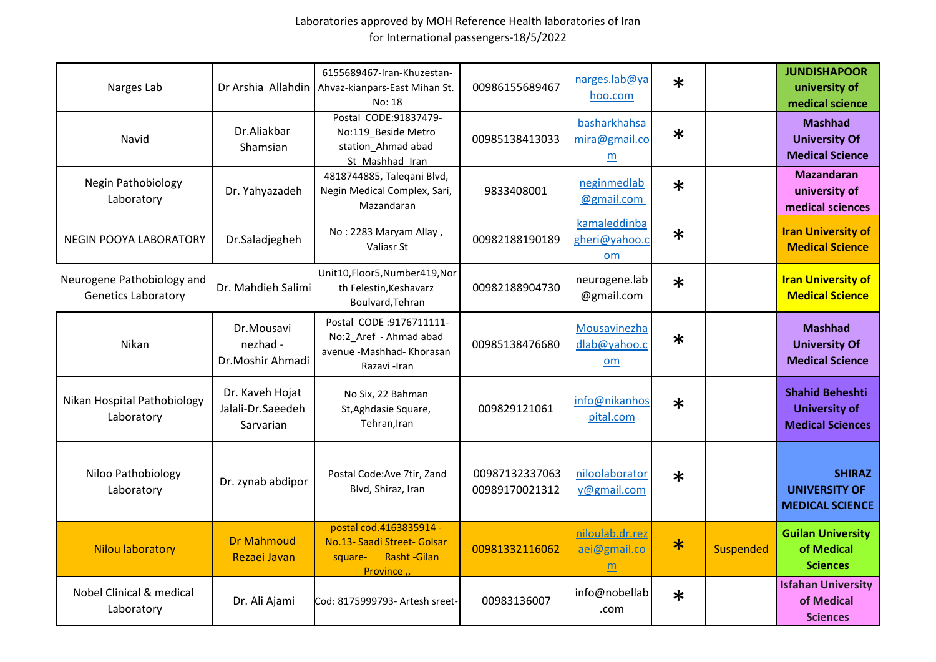| Narges Lab                                               |                                                   | 6155689467-Iran-Khuzestan-<br>Dr Arshia Allahdin Ahvaz-kianpars-East Mihan St.<br>No: 18            | 00986155689467                   | narges.lab@ya<br>hoo.com              | $\ast$ |                  | <b>JUNDISHAPOOR</b><br>university of<br>medical science                   |
|----------------------------------------------------------|---------------------------------------------------|-----------------------------------------------------------------------------------------------------|----------------------------------|---------------------------------------|--------|------------------|---------------------------------------------------------------------------|
| Navid                                                    | Dr.Aliakbar<br>Shamsian                           | Postal CODE:91837479-<br>No:119 Beside Metro<br>station Ahmad abad<br>St Mashhad Iran               | 00985138413033                   | basharkhahsa<br>mira@gmail.co<br>m    | $\ast$ |                  | <b>Mashhad</b><br><b>University Of</b><br><b>Medical Science</b>          |
| Negin Pathobiology<br>Laboratory                         | Dr. Yahyazadeh                                    | 4818744885, Taleqani Blvd,<br>Negin Medical Complex, Sari,<br>Mazandaran                            | 9833408001                       | neginmedlab<br>@gmail.com             | $\ast$ |                  | <b>Mazandaran</b><br>university of<br>medical sciences                    |
| <b>NEGIN POOYA LABORATORY</b>                            | Dr.Saladjegheh                                    | No: 2283 Maryam Allay,<br>Valiasr St                                                                | 00982188190189                   | kamaleddinba<br>gheri@yahoo.c<br>$om$ | $\ast$ |                  | <b>Iran University of</b><br><b>Medical Science</b>                       |
| Neurogene Pathobiology and<br><b>Genetics Laboratory</b> | Dr. Mahdieh Salimi                                | Unit10,Floor5,Number419,Nor<br>th Felestin, Keshavarz<br>Boulvard, Tehran                           | 00982188904730                   | neurogene.lab<br>@gmail.com           | $\ast$ |                  | <b>Iran University of</b><br><b>Medical Science</b>                       |
| Nikan                                                    | Dr.Mousavi<br>nezhad -<br>Dr.Moshir Ahmadi        | Postal CODE :9176711111-<br>No:2 Aref - Ahmad abad<br>avenue -Mashhad- Khorasan<br>Razavi -Iran     | 00985138476680                   | Mousavinezha<br>dlab@yahoo.c<br>om    | $\ast$ |                  | <b>Mashhad</b><br><b>University Of</b><br><b>Medical Science</b>          |
| Nikan Hospital Pathobiology<br>Laboratory                | Dr. Kaveh Hojat<br>Jalali-Dr.Saeedeh<br>Sarvarian | No Six, 22 Bahman<br>St, Aghdasie Square,<br>Tehran, Iran                                           | 009829121061                     | info@nikanhos<br>pital.com            | $\ast$ |                  | <b>Shahid Beheshti</b><br><b>University of</b><br><b>Medical Sciences</b> |
| Niloo Pathobiology<br>Laboratory                         | Dr. zynab abdipor                                 | Postal Code: Ave 7tir, Zand<br>Blvd, Shiraz, Iran                                                   | 00987132337063<br>00989170021312 | niloolaborator<br>y@gmail.com         | $\ast$ |                  | <b>SHIRAZ</b><br><b>UNIVERSITY OF</b><br><b>MEDICAL SCIENCE</b>           |
| <b>Nilou laboratory</b>                                  | <b>Dr Mahmoud</b><br>Rezaei Javan                 | postal cod.4163835914 -<br>No.13- Saadi Street- Golsar<br>Rasht-Gilan<br>square-<br><b>Province</b> | 00981332116062                   | niloulab.dr.rez<br>aei@gmail.co<br>m  | $\ast$ | <b>Suspended</b> | <b>Guilan University</b><br>of Medical<br><b>Sciences</b>                 |
| Nobel Clinical & medical<br>Laboratory                   | Dr. Ali Ajami                                     | Cod: 8175999793- Artesh sreet-                                                                      | 00983136007                      | info@nobellab<br>.com                 | $\ast$ |                  | <b>Isfahan University</b><br>of Medical<br><b>Sciences</b>                |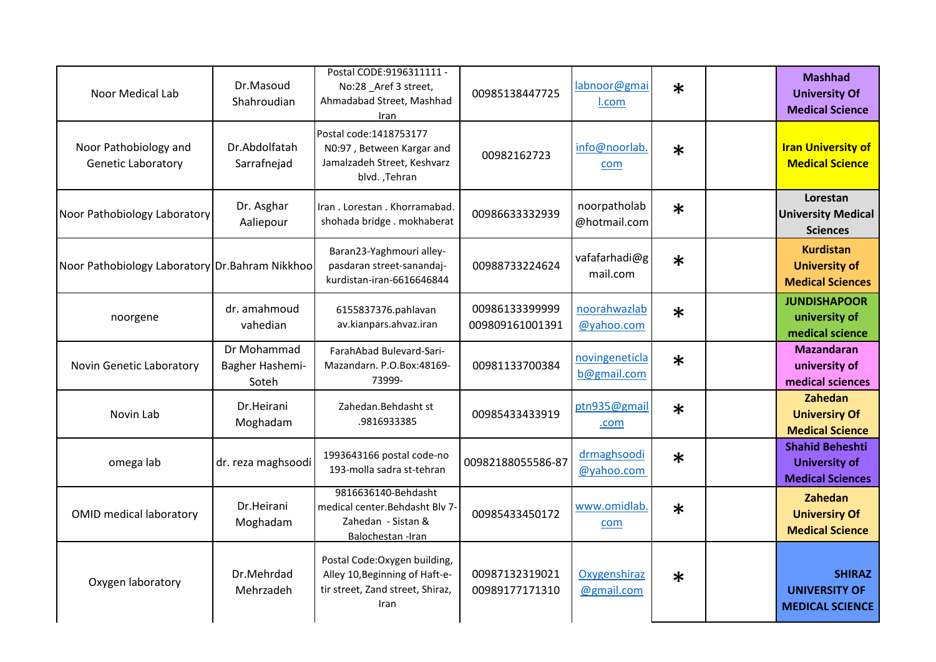| Noor Medical Lab                                   | Dr.Masoud<br>Shahroudian                | Postal CODE:9196311111 -<br>No:28 _Aref 3 street,<br>Ahmadabad Street, Mashhad<br>Iran                      | 00985138447725                    | labnoor@gmai<br>I.com         | $\ast$ | <b>Mashhad</b><br><b>University Of</b><br><b>Medical Science</b>          |
|----------------------------------------------------|-----------------------------------------|-------------------------------------------------------------------------------------------------------------|-----------------------------------|-------------------------------|--------|---------------------------------------------------------------------------|
| Noor Pathobiology and<br><b>Genetic Laboratory</b> | Dr.Abdolfatah<br>Sarrafnejad            | Postal code: 1418753177<br>N0:97, Between Kargar and<br>Jamalzadeh Street, Keshvarz<br>blvd., Tehran        | 00982162723                       | info@noorlab.<br>com          | $\ast$ | <b>Iran University of</b><br><b>Medical Science</b>                       |
| Noor Pathobiology Laboratory                       | Dr. Asghar<br>Aaliepour                 | Iran . Lorestan . Khorramabad.<br>shohada bridge. mokhaberat                                                | 00986633332939                    | noorpatholab<br>@hotmail.com  | $\ast$ | Lorestan<br><b>University Medical</b><br><b>Sciences</b>                  |
| Noor Pathobiology Laboratory Dr. Bahram Nikkhoo    |                                         | Baran23-Yaghmouri alley-<br>pasdaran street-sanandaj-<br>kurdistan-iran-6616646844                          | 00988733224624                    | vafafarhadi@g<br>mail.com     | $\ast$ | <b>Kurdistan</b><br><b>University of</b><br><b>Medical Sciences</b>       |
| noorgene                                           | dr. amahmoud<br>vahedian                | 6155837376.pahlavan<br>av.kianpars.ahvaz.iran                                                               | 00986133399999<br>009809161001391 | noorahwazlab<br>@yahoo.com    | $\ast$ | <b>JUNDISHAPOOR</b><br>university of<br>medical science                   |
| Novin Genetic Laboratory                           | Dr Mohammad<br>Bagher Hashemi-<br>Soteh | FarahAbad Bulevard-Sari-<br>Mazandarn. P.O.Box:48169-<br>73999-                                             | 00981133700384                    | novingeneticla<br>b@gmail.com | $\ast$ | <b>Mazandaran</b><br>university of<br>medical sciences                    |
| Novin Lab                                          | Dr.Heirani<br>Moghadam                  | Zahedan.Behdasht st<br>.9816933385                                                                          | 00985433433919                    | ptn935@gmail<br>.com          | $\ast$ | Zahedan<br><b>Universiry Of</b><br><b>Medical Science</b>                 |
| omega lab                                          | dr. reza maghsoodi                      | 1993643166 postal code-no<br>193-molla sadra st-tehran                                                      | 00982188055586-87                 | drmaghsoodi<br>@yahoo.com     | $\ast$ | <b>Shahid Beheshti</b><br><b>University of</b><br><b>Medical Sciences</b> |
| <b>OMID medical laboratory</b>                     | Dr.Heirani<br>Moghadam                  | 9816636140-Behdasht<br>medical center. Behdasht Bly 7-<br>Zahedan - Sistan &<br>Balochestan - Iran          | 00985433450172                    | www.omidlab.<br>com           | $\ast$ | Zahedan<br><b>Universiry Of</b><br><b>Medical Science</b>                 |
| Oxygen laboratory                                  | Dr.Mehrdad<br>Mehrzadeh                 | Postal Code: Oxygen building,<br>Alley 10, Beginning of Haft-e-<br>tir street, Zand street, Shiraz,<br>Iran | 00987132319021<br>00989177171310  | Oxygenshiraz<br>@gmail.com    | $\ast$ | <b>SHIRAZ</b><br><b>UNIVERSITY OF</b><br><b>MEDICAL SCIENCE</b>           |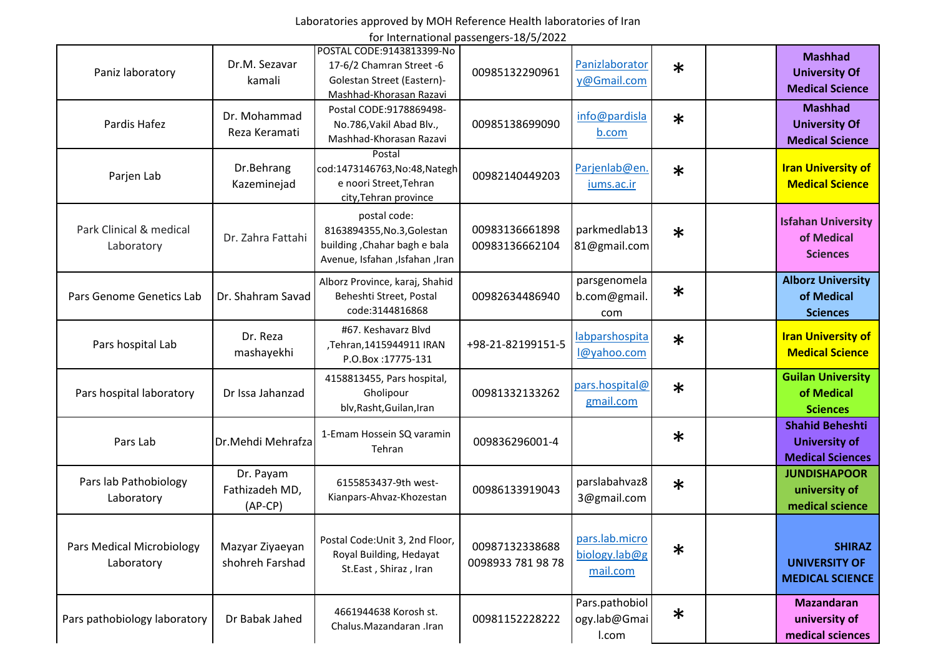# Laboratories approved by MOH Reference Health laboratories of Iran

for International passengers-18/5/2022

|                                         |                                          | POSTAL CODE:9143813399-No                                                                                    |                                     |                                             |        |                                                                           |
|-----------------------------------------|------------------------------------------|--------------------------------------------------------------------------------------------------------------|-------------------------------------|---------------------------------------------|--------|---------------------------------------------------------------------------|
| Paniz laboratory                        | Dr.M. Sezavar<br>kamali                  | 17-6/2 Chamran Street -6<br>Golestan Street (Eastern)-<br>Mashhad-Khorasan Razavi                            | 00985132290961                      | Panizlaborator<br>y@Gmail.com               | $\ast$ | <b>Mashhad</b><br><b>University Of</b><br><b>Medical Science</b>          |
| Pardis Hafez                            | Dr. Mohammad<br>Reza Keramati            | Postal CODE:9178869498-<br>No.786, Vakil Abad Blv.,<br>Mashhad-Khorasan Razavi                               | 00985138699090                      | info@pardisla<br>b.com                      | $\ast$ | <b>Mashhad</b><br><b>University Of</b><br><b>Medical Science</b>          |
| Parjen Lab                              | Dr.Behrang<br>Kazeminejad                | Postal<br>cod:1473146763, No:48, Nategh<br>e noori Street, Tehran<br>city, Tehran province                   | 00982140449203                      | Parjenlab@en.<br>jums.ac.ir                 | $\ast$ | <b>Iran University of</b><br><b>Medical Science</b>                       |
| Park Clinical & medical<br>Laboratory   | Dr. Zahra Fattahi                        | postal code:<br>8163894355, No.3, Golestan<br>building, Chahar bagh e bala<br>Avenue, Isfahan ,Isfahan ,Iran | 00983136661898<br>00983136662104    | parkmedlab13<br>81@gmail.com                | $\ast$ | <b>Isfahan University</b><br>of Medical<br><b>Sciences</b>                |
| Pars Genome Genetics Lab                | Dr. Shahram Savad                        | Alborz Province, karaj, Shahid<br>Beheshti Street, Postal<br>code:3144816868                                 | 00982634486940                      | parsgenomela<br>b.com@gmail.<br>com         | $\ast$ | <b>Alborz University</b><br>of Medical<br><b>Sciences</b>                 |
| Pars hospital Lab                       | Dr. Reza<br>mashayekhi                   | #67. Keshavarz Blvd<br>,Tehran,1415944911 IRAN<br>P.O.Box: 17775-131                                         | +98-21-82199151-5                   | labparshospita<br>l@yahoo.com               | $\ast$ | <b>Iran University of</b><br><b>Medical Science</b>                       |
| Pars hospital laboratory                | Dr Issa Jahanzad                         | 4158813455, Pars hospital,<br>Gholipour<br>blv, Rasht, Guilan, Iran                                          | 00981332133262                      | pars.hospital@<br>gmail.com                 | $\ast$ | <b>Guilan University</b><br>of Medical<br><b>Sciences</b>                 |
| Pars Lab                                | Dr. Mehdi Mehrafza                       | 1-Emam Hossein SQ varamin<br>Tehran                                                                          | 009836296001-4                      |                                             | $\ast$ | <b>Shahid Beheshti</b><br><b>University of</b><br><b>Medical Sciences</b> |
| Pars lab Pathobiology<br>Laboratory     | Dr. Payam<br>Fathizadeh MD,<br>$(AP-CP)$ | 6155853437-9th west-<br>Kianpars-Ahvaz-Khozestan                                                             | 00986133919043                      | parslabahvaz8<br>3@gmail.com                | $\ast$ | <b>JUNDISHAPOOR</b><br>university of<br>medical science                   |
| Pars Medical Microbiology<br>Laboratory | Mazyar Ziyaeyan<br>shohreh Farshad       | Postal Code: Unit 3, 2nd Floor,<br>Royal Building, Hedayat<br>St.East, Shiraz, Iran                          | 00987132338688<br>0098933 781 98 78 | pars.lab.micro<br>biology.lab@g<br>mail.com | $\ast$ | <b>SHIRAZ</b><br><b>UNIVERSITY OF</b><br><b>MEDICAL SCIENCE</b>           |
| Pars pathobiology laboratory            | Dr Babak Jahed                           | 4661944638 Korosh st.<br>Chalus.Mazandaran .Iran                                                             | 00981152228222                      | Pars.pathobiol<br>ogy.lab@Gmai<br>I.com     | $\ast$ | <b>Mazandaran</b><br>university of<br>medical sciences                    |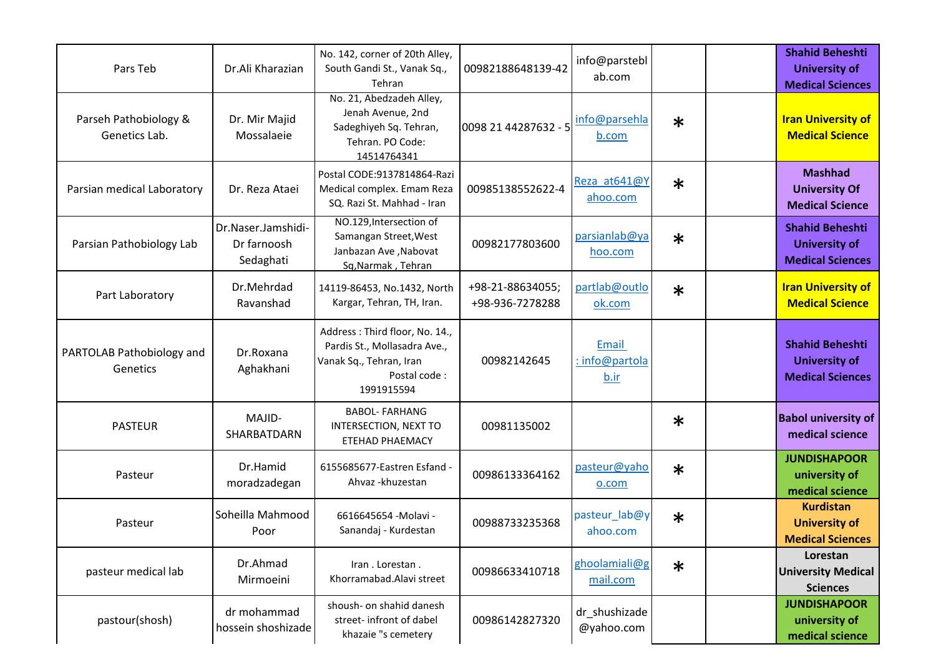| Pars Teb                               | Dr.Ali Kharazian                               | No. 142, corner of 20th Alley,<br>South Gandi St., Vanak Sq.,<br>Tehran                                                 | 00982188648139-42                   | info@parstebl<br>ab.com         |        | <b>Shahid Beheshti</b><br><b>University of</b><br><b>Medical Sciences</b> |
|----------------------------------------|------------------------------------------------|-------------------------------------------------------------------------------------------------------------------------|-------------------------------------|---------------------------------|--------|---------------------------------------------------------------------------|
| Parseh Pathobiology &<br>Genetics Lab. | Dr. Mir Majid<br>Mossalaeie                    | No. 21, Abedzadeh Alley,<br>Jenah Avenue, 2nd<br>Sadeghiyeh Sq. Tehran,<br>Tehran. PO Code:<br>14514764341              | 0098 21 44287632 - 5                | info@parsehla<br>b.com          | $\ast$ | <b>Iran University of</b><br><b>Medical Science</b>                       |
| Parsian medical Laboratory             | Dr. Reza Ataei                                 | Postal CODE: 9137814864-Razi<br>Medical complex. Emam Reza<br>SQ. Razi St. Mahhad - Iran                                | 00985138552622-4                    | Reza at641@Y<br>ahoo.com        | $\ast$ | <b>Mashhad</b><br><b>University Of</b><br><b>Medical Science</b>          |
| Parsian Pathobiology Lab               | Dr.Naser.Jamshidi-<br>Dr farnoosh<br>Sedaghati | NO.129, Intersection of<br>Samangan Street, West<br>Janbazan Ave, Nabovat<br>Sq, Narmak, Tehran                         | 00982177803600                      | parsianlab@ya<br>hoo.com        | $\ast$ | <b>Shahid Beheshti</b><br><b>University of</b><br><b>Medical Sciences</b> |
| Part Laboratory                        | Dr.Mehrdad<br>Ravanshad                        | 14119-86453, No.1432, North<br>Kargar, Tehran, TH, Iran.                                                                | +98-21-88634055;<br>+98-936-7278288 | partlab@outlo<br>ok.com         | $\ast$ | <b>Iran University of</b><br><b>Medical Science</b>                       |
| PARTOLAB Pathobiology and<br>Genetics  | Dr.Roxana<br>Aghakhani                         | Address: Third floor, No. 14.,<br>Pardis St., Mollasadra Ave.,<br>Vanak Sq., Tehran, Iran<br>Postal code:<br>1991915594 | 00982142645                         | Email<br>: info@partola<br>b.ir |        | <b>Shahid Beheshti</b><br><b>University of</b><br><b>Medical Sciences</b> |
| <b>PASTEUR</b>                         | MAJID-<br>SHARBATDARN                          | <b>BABOL- FARHANG</b><br>INTERSECTION, NEXT TO<br><b>ETEHAD PHAEMACY</b>                                                | 00981135002                         |                                 | $\ast$ | <b>Babol university of</b><br>medical science                             |
| Pasteur                                | Dr.Hamid<br>moradzadegan                       | 6155685677-Eastren Esfand -<br>Ahvaz - khuzestan                                                                        | 00986133364162                      | pasteur@yaho<br>o.com           | $\ast$ | <b>JUNDISHAPOOR</b><br>university of<br>medical science                   |
| Pasteur                                | Soheilla Mahmood<br>Poor                       | 6616645654 - Molavi -<br>Sanandaj - Kurdestan                                                                           | 00988733235368                      | pasteur lab@y<br>ahoo.com       | $\ast$ | <b>Kurdistan</b><br><b>University of</b><br><b>Medical Sciences</b>       |
| pasteur medical lab                    | Dr.Ahmad<br>Mirmoeini                          | Iran. Lorestan.<br>Khorramabad.Alavi street                                                                             | 00986633410718                      | ghoolamiali@g<br>mail.com       | $\ast$ | Lorestan<br><b>University Medical</b><br><b>Sciences</b>                  |
| pastour(shosh)                         | dr mohammad<br>hossein shoshizade              | shoush- on shahid danesh<br>street- infront of dabel<br>khazaie "s cemetery                                             | 00986142827320                      | dr_shushizade<br>@yahoo.com     |        | <b>JUNDISHAPOOR</b><br>university of<br>medical science                   |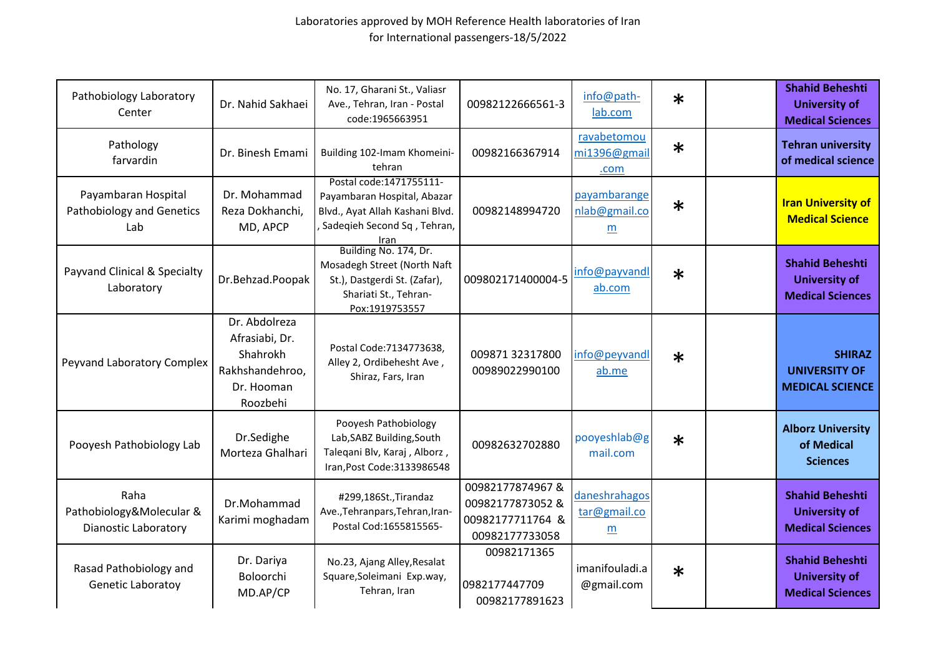| Pathobiology Laboratory<br>Center                               | Dr. Nahid Sakhaei                                                                        | No. 17, Gharani St., Valiasr<br>Ave., Tehran, Iran - Postal<br>code:1965663951                                                    | 00982122666561-3                                                          | info@path-<br>lab.com                            | $\ast$ | <b>Shahid Beheshti</b><br><b>University of</b><br><b>Medical Sciences</b> |               |
|-----------------------------------------------------------------|------------------------------------------------------------------------------------------|-----------------------------------------------------------------------------------------------------------------------------------|---------------------------------------------------------------------------|--------------------------------------------------|--------|---------------------------------------------------------------------------|---------------|
| Pathology<br>farvardin                                          | Dr. Binesh Emami                                                                         | Building 102-Imam Khomeini-<br>tehran                                                                                             | 00982166367914                                                            | ravabetomou<br>mi1396@gmail<br>.com              | $\ast$ | <b>Tehran university</b><br>of medical science                            |               |
| Payambaran Hospital<br>Pathobiology and Genetics<br>Lab         | Dr. Mohammad<br>Reza Dokhanchi,<br>MD, APCP                                              | Postal code: 1471755111-<br>Payambaran Hospital, Abazar<br>Blvd., Ayat Allah Kashani Blvd.<br>Sadeqieh Second Sq, Tehran,<br>Iran | 00982148994720                                                            | payambarange<br>nlab@gmail.co<br>m               | $\ast$ | <b>Iran University of</b><br><b>Medical Science</b>                       |               |
| Payvand Clinical & Specialty<br>Laboratory                      | Dr.Behzad.Poopak                                                                         | Building No. 174, Dr.<br>Mosadegh Street (North Naft<br>St.), Dastgerdi St. (Zafar),<br>Shariati St., Tehran-<br>Pox:1919753557   | 009802171400004-5                                                         | info@payvandl<br>ab.com                          | $\ast$ | <b>Shahid Beheshti</b><br><b>University of</b><br><b>Medical Sciences</b> |               |
| Peyvand Laboratory Complex                                      | Dr. Abdolreza<br>Afrasiabi, Dr.<br>Shahrokh<br>Rakhshandehroo,<br>Dr. Hooman<br>Roozbehi | Postal Code: 7134773638,<br>Alley 2, Ordibehesht Ave,<br>Shiraz, Fars, Iran                                                       | 009871 32317800<br>00989022990100                                         | info@peyvandl<br>ab.me                           | $\ast$ | <b>UNIVERSITY OF</b><br><b>MEDICAL SCIENCE</b>                            | <b>SHIRAZ</b> |
| Pooyesh Pathobiology Lab                                        | Dr.Sedighe<br>Morteza Ghalhari                                                           | Pooyesh Pathobiology<br>Lab, SABZ Building, South<br>Taleqani Blv, Karaj, Alborz,<br>Iran, Post Code: 3133986548                  | 00982632702880                                                            | pooyeshlab@g<br>mail.com                         | $\ast$ | <b>Alborz University</b><br>of Medical<br><b>Sciences</b>                 |               |
| Raha<br>Pathobiology&Molecular &<br><b>Dianostic Laboratory</b> | Dr.Mohammad<br>Karimi moghadam                                                           | #299,186St., Tirandaz<br>Ave., Tehranpars, Tehran, Iran-<br>Postal Cod:1655815565-                                                | 00982177874967&<br>00982177873052 &<br>00982177711764 &<br>00982177733058 | daneshrahagos<br>tar@gmail.co<br>$\underline{m}$ |        | <b>Shahid Beheshti</b><br><b>University of</b><br><b>Medical Sciences</b> |               |
| Rasad Pathobiology and<br>Genetic Laboratoy                     | Dr. Dariya<br>Boloorchi<br>MD.AP/CP                                                      | No.23, Ajang Alley, Resalat<br>Square, Soleimani Exp.way,<br>Tehran, Iran                                                         | 00982171365<br>0982177447709<br>00982177891623                            | imanifouladi.a<br>@gmail.com                     | $\ast$ | <b>Shahid Beheshti</b><br><b>University of</b><br><b>Medical Sciences</b> |               |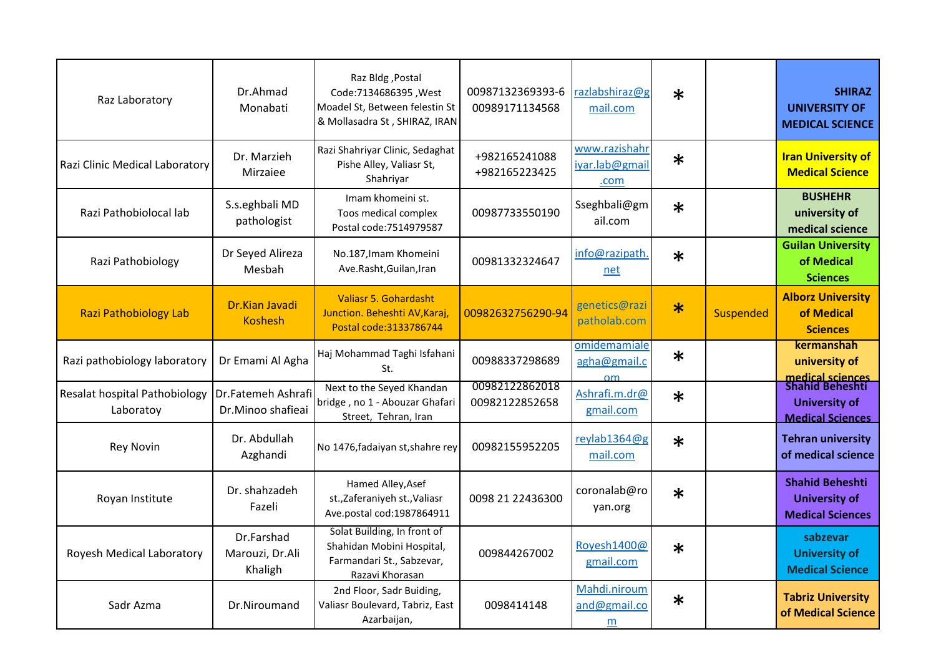| Raz Laboratory                             | Dr.Ahmad<br>Monabati                     | Raz Bldg, Postal<br>Code:7134686395, West<br>Moadel St, Between felestin St<br>& Mollasadra St, SHIRAZ, IRAN | 00987132369393-6<br>00989171134568 | razlabshiraz@g<br>mail.com                    | $\ast$ |                  | <b>SHIRAZ</b><br><b>UNIVERSITY OF</b><br><b>MEDICAL SCIENCE</b>           |
|--------------------------------------------|------------------------------------------|--------------------------------------------------------------------------------------------------------------|------------------------------------|-----------------------------------------------|--------|------------------|---------------------------------------------------------------------------|
| Razi Clinic Medical Laboratory             | Dr. Marzieh<br>Mirzaiee                  | Razi Shahriyar Clinic, Sedaghat<br>Pishe Alley, Valiasr St,<br>Shahriyar                                     | +982165241088<br>+982165223425     | www.razishahr<br>iyar.lab@gmail<br>.com       | $\ast$ |                  | <b>Iran University of</b><br><b>Medical Science</b>                       |
| Razi Pathobiolocal lab                     | S.s.eghbali MD<br>pathologist            | Imam khomeini st.<br>Toos medical complex<br>Postal code: 7514979587                                         | 00987733550190                     | Sseghbali@gm<br>ail.com                       | $\ast$ |                  | <b>BUSHEHR</b><br>university of<br>medical science                        |
| Razi Pathobiology                          | Dr Seyed Alireza<br>Mesbah               | No.187, Imam Khomeini<br>Ave.Rasht, Guilan, Iran                                                             | 00981332324647                     | info@razipath.<br>net                         | $\ast$ |                  | <b>Guilan University</b><br>of Medical<br><b>Sciences</b>                 |
| <b>Razi Pathobiology Lab</b>               | Dr.Kian Javadi<br><b>Koshesh</b>         | <b>Valiasr 5. Gohardasht</b><br>Junction. Beheshti AV, Karaj,<br>Postal code: 3133786744                     | 00982632756290-94                  | genetics@razi<br>patholab.com                 | $\ast$ | <b>Suspended</b> | <b>Alborz University</b><br>of Medical<br><b>Sciences</b>                 |
| Razi pathobiology laboratory               | Dr Emami Al Agha                         | Haj Mohammad Taghi Isfahani<br>St.                                                                           | 00988337298689                     | omidemamiale<br>agha@gmail.c<br>$\mathsf{nm}$ | $\ast$ |                  | kermanshah<br>university of<br>medical sciences                           |
| Resalat hospital Pathobiology<br>Laboratoy | Dr.Fatemeh Ashrafi<br>Dr.Minoo shafieai  | Next to the Seyed Khandan<br>bridge, no 1 - Abouzar Ghafari<br>Street, Tehran, Iran                          | 00982122862018<br>00982122852658   | Ashrafi.m.dr@<br>gmail.com                    | $\ast$ |                  | <b>Shahid Beheshti</b><br><b>University of</b><br><b>Medical Sciences</b> |
| <b>Rey Novin</b>                           | Dr. Abdullah<br>Azghandi                 | No 1476, fadaiyan st, shahre rey                                                                             | 00982155952205                     | reylab1364@g<br>mail.com                      | $\ast$ |                  | <b>Tehran university</b><br>of medical science                            |
| Royan Institute                            | Dr. shahzadeh<br>Fazeli                  | Hamed Alley, Asef<br>st., Zaferaniyeh st., Valiasr<br>Ave.postal cod:1987864911                              | 0098 21 22436300                   | coronalab@ro<br>yan.org                       | $\ast$ |                  | <b>Shahid Beheshti</b><br><b>University of</b><br><b>Medical Sciences</b> |
| Royesh Medical Laboratory                  | Dr.Farshad<br>Marouzi, Dr.Ali<br>Khaligh | Solat Building, In front of<br>Shahidan Mobini Hospital,<br>Farmandari St., Sabzevar,<br>Razavi Khorasan     | 009844267002                       | Royesh1400@<br>gmail.com                      | $\ast$ |                  | sabzevar<br><b>University of</b><br><b>Medical Science</b>                |
| Sadr Azma                                  | Dr.Niroumand                             | 2nd Floor, Sadr Buiding,<br>Valiasr Boulevard, Tabriz, East<br>Azarbaijan,                                   | 0098414148                         | Mahdi.niroum<br>and@gmail.co<br>m             | $\ast$ |                  | <b>Tabriz University</b><br>of Medical Science                            |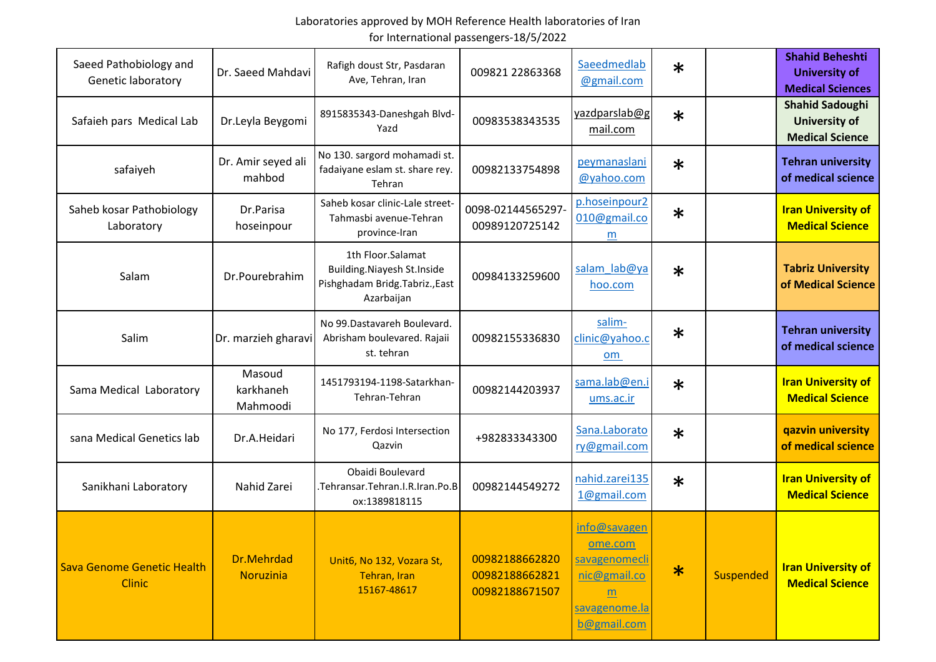| Saeed Pathobiology and<br><b>Genetic laboratory</b> | Dr. Saeed Mahdavi               | Rafigh doust Str, Pasdaran<br>Ave, Tehran, Iran                                                         | 009821 22863368                                    | Saeedmedlab<br>@gmail.com                                                                     | $\ast$ |                  | <b>Shahid Beheshti</b><br><b>University of</b><br><b>Medical Sciences</b> |
|-----------------------------------------------------|---------------------------------|---------------------------------------------------------------------------------------------------------|----------------------------------------------------|-----------------------------------------------------------------------------------------------|--------|------------------|---------------------------------------------------------------------------|
| Safaieh pars Medical Lab                            | Dr.Leyla Beygomi                | 8915835343-Daneshgah Blvd-<br>Yazd                                                                      | 00983538343535                                     | yazdparslab@g<br>mail.com                                                                     | $\ast$ |                  | <b>Shahid Sadoughi</b><br><b>University of</b><br><b>Medical Science</b>  |
| safaiyeh                                            | Dr. Amir seyed ali<br>mahbod    | No 130. sargord mohamadi st.<br>fadaiyane eslam st. share rey.<br>Tehran                                | 00982133754898                                     | peymanaslani<br>@yahoo.com                                                                    | $\ast$ |                  | <b>Tehran university</b><br>of medical science                            |
| Saheb kosar Pathobiology<br>Laboratory              | Dr.Parisa<br>hoseinpour         | Saheb kosar clinic-Lale street-<br>Tahmasbi avenue-Tehran<br>province-Iran                              | 0098-02144565297<br>00989120725142                 | p.hoseinpour2<br>010@gmail.co<br>m                                                            | $\ast$ |                  | <b>Iran University of</b><br><b>Medical Science</b>                       |
| Salam                                               | Dr.Pourebrahim                  | 1th Floor.Salamat<br><b>Building. Niayesh St. Inside</b><br>Pishghadam Bridg.Tabriz.,East<br>Azarbaijan | 00984133259600                                     | salam lab@ya<br>hoo.com                                                                       | $\ast$ |                  | <b>Tabriz University</b><br>of Medical Science                            |
| Salim                                               | Dr. marzieh gharavi             | No 99. Dastavareh Boulevard.<br>Abrisham boulevared. Rajaii<br>st. tehran                               | 00982155336830                                     | salim-<br>clinic@yahoo.c<br>om                                                                | $\ast$ |                  | <b>Tehran university</b><br>of medical science                            |
| Sama Medical Laboratory                             | Masoud<br>karkhaneh<br>Mahmoodi | 1451793194-1198-Satarkhan-<br>Tehran-Tehran                                                             | 00982144203937                                     | sama.lab@en.i<br><u>ums.ac.ir</u>                                                             | $\ast$ |                  | <b>Iran University of</b><br><b>Medical Science</b>                       |
| sana Medical Genetics lab                           | Dr.A.Heidari                    | No 177, Ferdosi Intersection<br>Qazvin                                                                  | +982833343300                                      | Sana.Laborato<br>ry@gmail.com                                                                 | $\ast$ |                  | qazvin university<br>of medical science                                   |
| Sanikhani Laboratory                                | Nahid Zarei                     | Obaidi Boulevard<br>.Tehransar.Tehran.I.R.Iran.Po.B<br>ox:1389818115                                    | 00982144549272                                     | nahid.zarei135<br>1@gmail.com                                                                 | $\ast$ |                  | <b>Iran University of</b><br><b>Medical Science</b>                       |
| Sava Genome Genetic Health<br><b>Clinic</b>         | Dr.Mehrdad<br>Noruzinia         | Unit6, No 132, Vozara St,<br>Tehran, Iran<br>15167-48617                                                | 00982188662820<br>00982188662821<br>00982188671507 | info@savagen<br>ome.com<br>savagenomecli<br>nic@gmail.co<br>m<br>savagenome.la<br>b@gmail.com | $\ast$ | <b>Suspended</b> | <b>Iran University of</b><br><b>Medical Science</b>                       |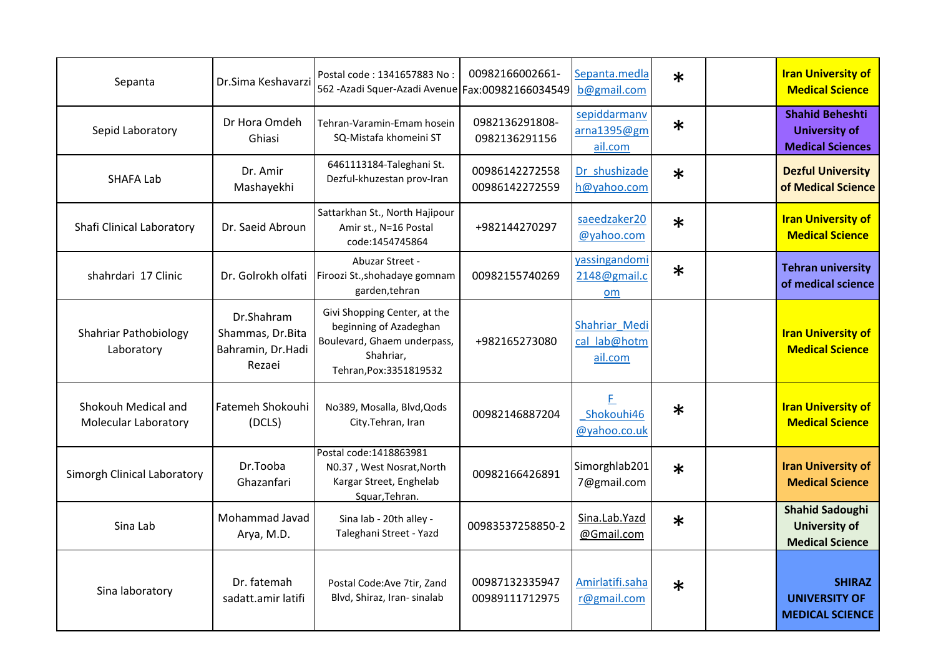| Sepanta                                            | Dr.Sima Keshavarzi                                            | Postal code: 1341657883 No:<br>562 - Azadi Squer-Azadi Avenue   Fax: 00982166034549                                           | 00982166002661-                  | Sepanta.medla<br>b@gmail.com             | $\ast$ | <b>Iran University of</b><br><b>Medical Science</b>                       |
|----------------------------------------------------|---------------------------------------------------------------|-------------------------------------------------------------------------------------------------------------------------------|----------------------------------|------------------------------------------|--------|---------------------------------------------------------------------------|
| Sepid Laboratory                                   | Dr Hora Omdeh<br>Ghiasi                                       | Tehran-Varamin-Emam hosein<br>SQ-Mistafa khomeini ST                                                                          | 0982136291808-<br>0982136291156  | sepiddarmanv<br>arna1395@gm<br>ail.com   | $\ast$ | <b>Shahid Beheshti</b><br><b>University of</b><br><b>Medical Sciences</b> |
| <b>SHAFA Lab</b>                                   | Dr. Amir<br>Mashayekhi                                        | 6461113184-Taleghani St.<br>Dezful-khuzestan prov-Iran                                                                        | 00986142272558<br>00986142272559 | Dr_shushizade<br>h@yahoo.com             | $\ast$ | <b>Dezful University</b><br>of Medical Science                            |
| Shafi Clinical Laboratory                          | Dr. Saeid Abroun                                              | Sattarkhan St., North Hajipour<br>Amir st., N=16 Postal<br>code:1454745864                                                    | +982144270297                    | saeedzaker20<br>@yahoo.com               | $\ast$ | <b>Iran University of</b><br><b>Medical Science</b>                       |
| shahrdari 17 Clinic                                | Dr. Golrokh olfati                                            | Abuzar Street -<br>Firoozi St., shohadaye gomnam<br>garden, tehran                                                            | 00982155740269                   | yassingandomi<br>2148@gmail.c<br>om      | $\ast$ | <b>Tehran university</b><br>of medical science                            |
| <b>Shahriar Pathobiology</b><br>Laboratory         | Dr.Shahram<br>Shammas, Dr.Bita<br>Bahramin, Dr.Hadi<br>Rezaei | Givi Shopping Center, at the<br>beginning of Azadeghan<br>Boulevard, Ghaem underpass,<br>Shahriar,<br>Tehran, Pox: 3351819532 | +982165273080                    | Shahriar Medi<br>cal lab@hotm<br>ail.com |        | <b>Iran University of</b><br><b>Medical Science</b>                       |
| Shokouh Medical and<br><b>Molecular Laboratory</b> | <b>Fatemeh Shokouhi</b><br>(DCLS)                             | No389, Mosalla, Blvd, Qods<br>City.Tehran, Iran                                                                               | 00982146887204                   | F<br>Shokouhi46<br>@yahoo.co.uk          | $\ast$ | <b>Iran University of</b><br><b>Medical Science</b>                       |
| Simorgh Clinical Laboratory                        | Dr.Tooba<br>Ghazanfari                                        | Postal code: 1418863981<br>N0.37, West Nosrat, North<br>Kargar Street, Enghelab<br>Squar, Tehran.                             | 00982166426891                   | Simorghlab201<br>7@gmail.com             | $\ast$ | <b>Iran University of</b><br><b>Medical Science</b>                       |
| Sina Lab                                           | Mohammad Javad<br>Arya, M.D.                                  | Sina lab - 20th alley -<br>Taleghani Street - Yazd                                                                            | 00983537258850-2                 | Sina.Lab.Yazd<br>@Gmail.com              | $\ast$ | <b>Shahid Sadoughi</b><br><b>University of</b><br><b>Medical Science</b>  |
| Sina laboratory                                    | Dr. fatemah<br>sadatt.amir latifi                             | Postal Code: Ave 7tir, Zand<br>Blvd, Shiraz, Iran- sinalab                                                                    | 00987132335947<br>00989111712975 | Amirlatifi.saha<br>r@gmail.com           | $\ast$ | <b>SHIRAZ</b><br><b>UNIVERSITY OF</b><br><b>MEDICAL SCIENCE</b>           |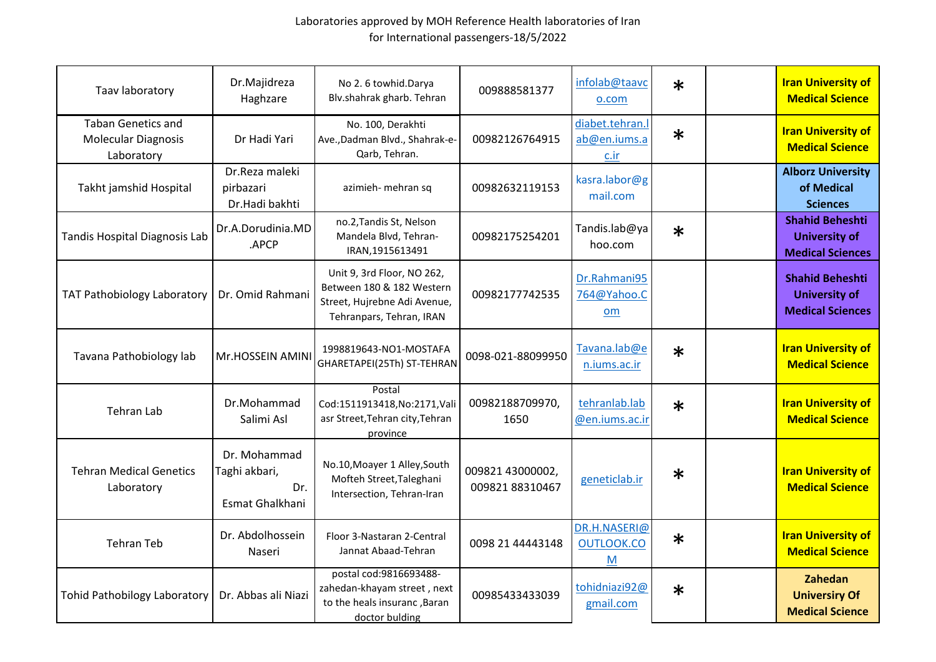| Taav laboratory                                                       | Dr.Majidreza<br>Haghzare                                | No 2.6 towhid.Darya<br>Blv.shahrak gharb. Tehran                                                                    | 009888581377                       | infolab@taavc<br>o.com                            | $\ast$ | <b>Iran University of</b><br><b>Medical Science</b>                       |
|-----------------------------------------------------------------------|---------------------------------------------------------|---------------------------------------------------------------------------------------------------------------------|------------------------------------|---------------------------------------------------|--------|---------------------------------------------------------------------------|
| <b>Taban Genetics and</b><br><b>Molecular Diagnosis</b><br>Laboratory | Dr Hadi Yari                                            | No. 100, Derakhti<br>Ave., Dadman Blvd., Shahrak-e-<br>Qarb, Tehran.                                                | 00982126764915                     | diabet.tehran.l<br>ab@en.iums.a<br>$c_{\cdot}$ ir | $\ast$ | <b>Iran University of</b><br><b>Medical Science</b>                       |
| Takht jamshid Hospital                                                | Dr.Reza maleki<br>pirbazari<br>Dr.Hadi bakhti           | azimieh- mehran sq                                                                                                  | 00982632119153                     | kasra.labor@g<br>mail.com                         |        | <b>Alborz University</b><br>of Medical<br><b>Sciences</b>                 |
| Tandis Hospital Diagnosis Lab                                         | Dr.A.Dorudinia.MD<br>.APCP                              | no.2, Tandis St, Nelson<br>Mandela Blvd, Tehran-<br>IRAN, 1915613491                                                | 00982175254201                     | Tandis.lab@ya<br>hoo.com                          | $\ast$ | <b>Shahid Beheshti</b><br><b>University of</b><br><b>Medical Sciences</b> |
| <b>TAT Pathobiology Laboratory</b>                                    | Dr. Omid Rahmani                                        | Unit 9, 3rd Floor, NO 262,<br>Between 180 & 182 Western<br>Street, Hujrebne Adi Avenue,<br>Tehranpars, Tehran, IRAN | 00982177742535                     | Dr.Rahmani95<br>764@Yahoo.C<br>om                 |        | <b>Shahid Beheshti</b><br><b>University of</b><br><b>Medical Sciences</b> |
| Tavana Pathobiology lab                                               | Mr.HOSSEIN AMINI                                        | 1998819643-NO1-MOSTAFA<br>GHARETAPEI(25Th) ST-TEHRAN                                                                | 0098-021-88099950                  | Tavana.lab@e<br>n.iums.ac.ir                      | $\ast$ | <b>Iran University of</b><br><b>Medical Science</b>                       |
| <b>Tehran Lab</b>                                                     | Dr.Mohammad<br>Salimi Asl                               | Postal<br>Cod:1511913418, No:2171, Vali<br>asr Street, Tehran city, Tehran<br>province                              | 00982188709970,<br>1650            | tehranlab.lab<br>@en.iums.ac.ir                   | $\ast$ | <b>Iran University of</b><br><b>Medical Science</b>                       |
| <b>Tehran Medical Genetics</b><br>Laboratory                          | Dr. Mohammad<br>Taghi akbari,<br>Dr.<br>Esmat Ghalkhani | No.10, Moayer 1 Alley, South<br>Mofteh Street, Taleghani<br>Intersection, Tehran-Iran                               | 009821 43000002,<br>00982188310467 | geneticlab.ir                                     | $\ast$ | <b>Iran University of</b><br><b>Medical Science</b>                       |
| <b>Tehran Teb</b>                                                     | Dr. Abdolhossein<br>Naseri                              | Floor 3-Nastaran 2-Central<br>Jannat Abaad-Tehran                                                                   | 0098 21 44443148                   | DR.H.NASERI@<br>OUTLOOK.CO<br>M                   | $\ast$ | <b>Iran University of</b><br><b>Medical Science</b>                       |
| <b>Tohid Pathobilogy Laboratory</b>                                   | Dr. Abbas ali Niazi                                     | postal cod: 9816693488-<br>zahedan-khayam street, next<br>to the heals insuranc, Baran<br>doctor bulding            | 00985433433039                     | tohidniazi92@<br>gmail.com                        | $\ast$ | Zahedan<br><b>Universiry Of</b><br><b>Medical Science</b>                 |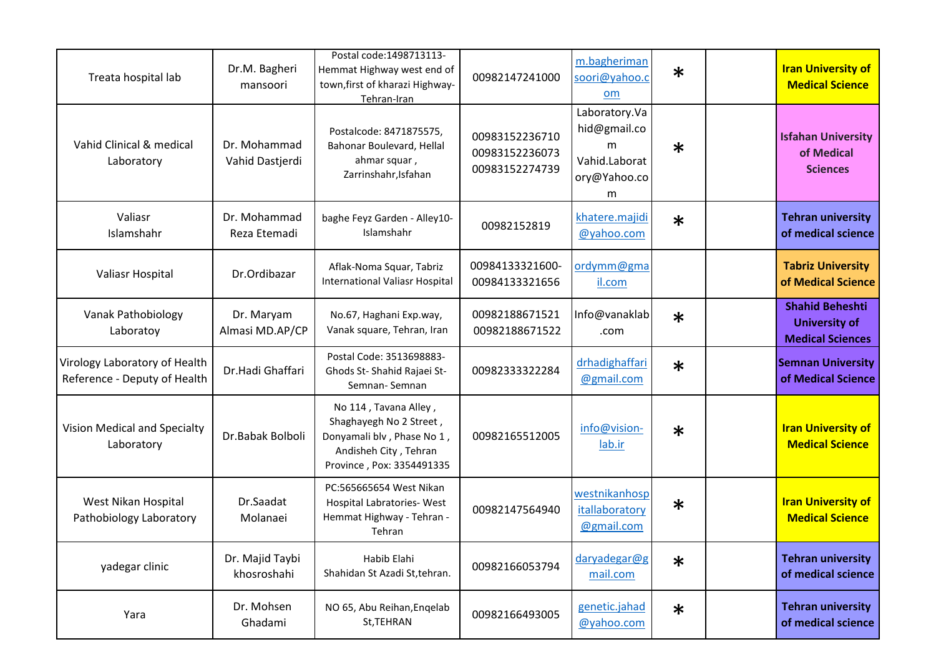| Treata hospital lab                                           | Dr.M. Bagheri<br>mansoori       | Postal code: 1498713113-<br>Hemmat Highway west end of<br>town, first of kharazi Highway-<br>Tehran-Iran                             | 00982147241000                                     | m.bagheriman<br>soori@yahoo.c<br>om                                      | $\ast$ | <b>Iran University of</b><br><b>Medical Science</b>                       |
|---------------------------------------------------------------|---------------------------------|--------------------------------------------------------------------------------------------------------------------------------------|----------------------------------------------------|--------------------------------------------------------------------------|--------|---------------------------------------------------------------------------|
| Vahid Clinical & medical<br>Laboratory                        | Dr. Mohammad<br>Vahid Dastjerdi | Postalcode: 8471875575,<br>Bahonar Boulevard, Hellal<br>ahmar squar,<br>Zarrinshahr, Isfahan                                         | 00983152236710<br>00983152236073<br>00983152274739 | Laboratory.Va<br>hid@gmail.co<br>m<br>Vahid.Laborat<br>ory@Yahoo.co<br>m | $\ast$ | <b>Isfahan University</b><br>of Medical<br><b>Sciences</b>                |
| Valiasr<br>Islamshahr                                         | Dr. Mohammad<br>Reza Etemadi    | baghe Feyz Garden - Alley10-<br>Islamshahr                                                                                           | 00982152819                                        | khatere.majidi<br>@yahoo.com                                             | $\ast$ | <b>Tehran university</b><br>of medical science                            |
| Valiasr Hospital                                              | Dr.Ordibazar                    | Aflak-Noma Squar, Tabriz<br><b>International Valiasr Hospital</b>                                                                    | 00984133321600-<br>00984133321656                  | ordymm@gma<br>il.com                                                     |        | <b>Tabriz University</b><br>of Medical Science                            |
| <b>Vanak Pathobiology</b><br>Laboratoy                        | Dr. Maryam<br>Almasi MD.AP/CP   | No.67, Haghani Exp.way,<br>Vanak square, Tehran, Iran                                                                                | 00982188671521<br>00982188671522                   | Info@vanaklab<br>.com                                                    | $\ast$ | <b>Shahid Beheshti</b><br><b>University of</b><br><b>Medical Sciences</b> |
| Virology Laboratory of Health<br>Reference - Deputy of Health | Dr.Hadi Ghaffari                | Postal Code: 3513698883-<br>Ghods St- Shahid Rajaei St-<br>Semnan-Semnan                                                             | 00982333322284                                     | drhadighaffari<br>@gmail.com                                             | $\ast$ | <b>Semnan University</b><br>of Medical Science                            |
| Vision Medical and Specialty<br>Laboratory                    | Dr.Babak Bolboli                | No 114, Tavana Alley,<br>Shaghayegh No 2 Street,<br>Donyamali blv, Phase No 1,<br>Andisheh City, Tehran<br>Province, Pox: 3354491335 | 00982165512005                                     | info@vision-<br>lab.ir                                                   | $\ast$ | <b>Iran University of</b><br><b>Medical Science</b>                       |
| West Nikan Hospital<br>Pathobiology Laboratory                | Dr.Saadat<br>Molanaei           | PC:565665654 West Nikan<br>Hospital Labratories-West<br>Hemmat Highway - Tehran -<br>Tehran                                          | 00982147564940                                     | westnikanhosp<br>itallaboratory<br>@gmail.com                            | $\ast$ | <b>Iran University of</b><br><b>Medical Science</b>                       |
| yadegar clinic                                                | Dr. Majid Taybi<br>khosroshahi  | Habib Elahi<br>Shahidan St Azadi St, tehran.                                                                                         | 00982166053794                                     | daryadegar@g<br>mail.com                                                 | $\ast$ | <b>Tehran university</b><br>of medical science                            |
| Yara                                                          | Dr. Mohsen<br>Ghadami           | NO 65, Abu Reihan, Engelab<br>St, TEHRAN                                                                                             | 00982166493005                                     | genetic.jahad<br>@yahoo.com                                              | $\ast$ | <b>Tehran university</b><br>of medical science                            |